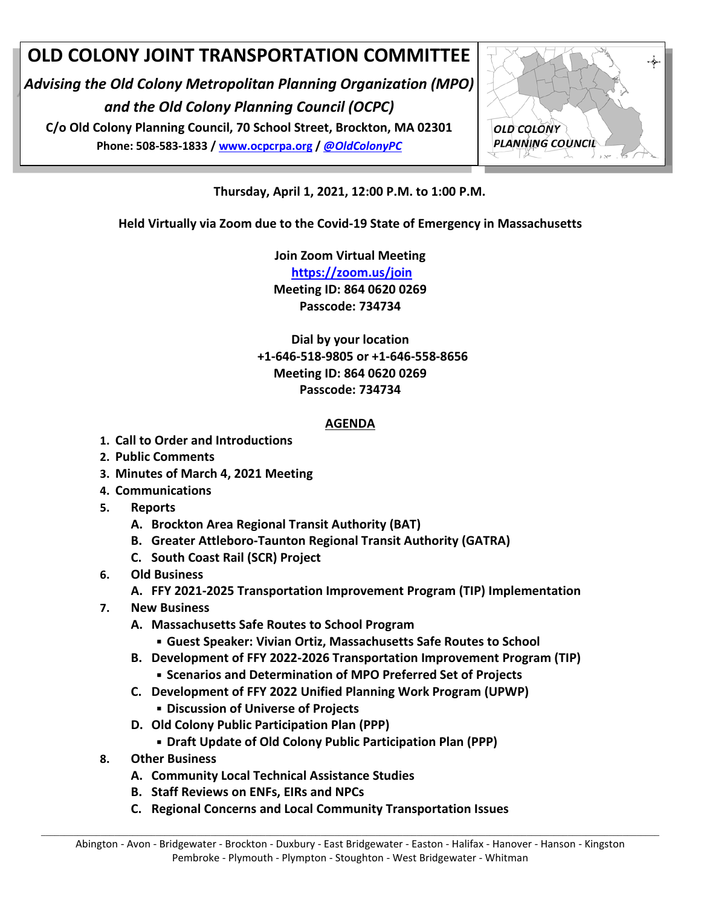# **OLD COLONY JOINT TRANSPORTATION COMMITTEE**

*Advising the Old Colony Metropolitan Planning Organization (MPO) and the Old Colony Planning Council (OCPC)*

**C/o Old Colony Planning Council, 70 School Street, Brockton, MA 02301 Phone: 508-583-1833 / [www.ocpcrpa.org](http://www.ocpcrpa.org/) /** *[@OldColonyPC](https://twitter.com/OldColonyPC)*



**Thursday, April 1, 2021, 12:00 P.M. to 1:00 P.M.**

**Held Virtually via Zoom due to the Covid-19 State of Emergency in Massachusetts**

**Join Zoom Virtual Meeting**

**<https://zoom.us/join> Meeting ID: 864 0620 0269 Passcode: 734734**

**Dial by your location +1-646-518-9805 or +1-646-558-8656 Meeting ID: 864 0620 0269 Passcode: 734734**

#### **AGENDA**

- **1. Call to Order and Introductions**
- **2. Public Comments**
- **3. Minutes of March 4, 2021 Meeting**
- **4. Communications**
- **5. Reports**
	- **A. Brockton Area Regional Transit Authority (BAT)**
	- **B. Greater Attleboro-Taunton Regional Transit Authority (GATRA)**
	- **C. South Coast Rail (SCR) Project**
- **6. Old Business**
	- **A. FFY 2021-2025 Transportation Improvement Program (TIP) Implementation**
- **7. New Business**
	- **A. Massachusetts Safe Routes to School Program**
		- **Guest Speaker: Vivian Ortiz, Massachusetts Safe Routes to School**
	- **B. Development of FFY 2022-2026 Transportation Improvement Program (TIP)**
	- **Scenarios and Determination of MPO Preferred Set of Projects**
	- **C. Development of FFY 2022 Unified Planning Work Program (UPWP)**
		- **Discussion of Universe of Projects**
	- **D. Old Colony Public Participation Plan (PPP)** 
		- **Draft Update of Old Colony Public Participation Plan (PPP)**
- **8. Other Business**
	- **A. Community Local Technical Assistance Studies**
	- **B. Staff Reviews on ENFs, EIRs and NPCs**
	- **C. Regional Concerns and Local Community Transportation Issues**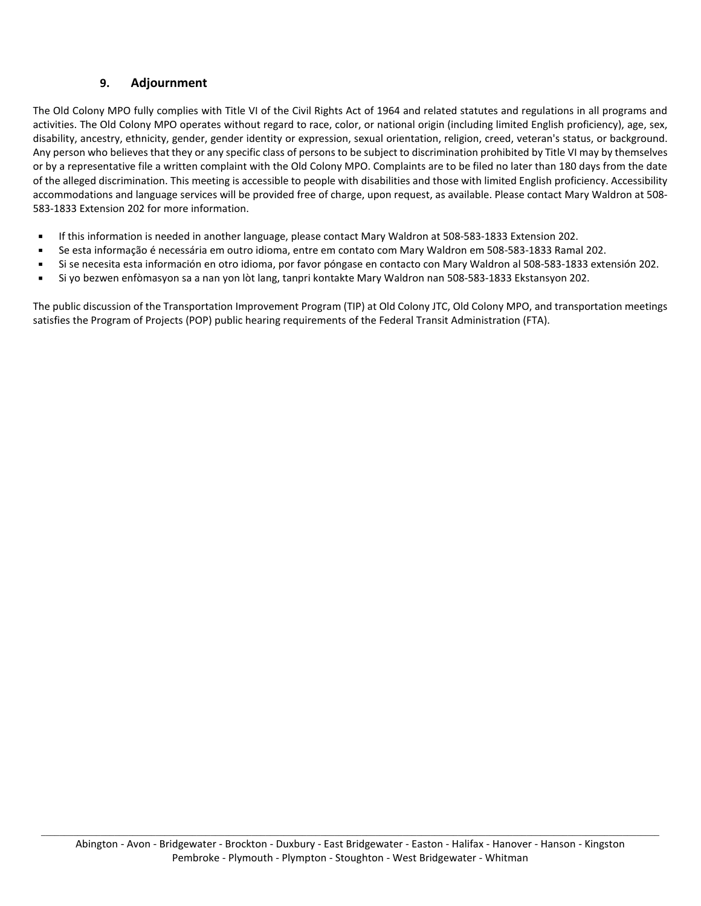#### **9. Adjournment**

The Old Colony MPO fully complies with Title VI of the Civil Rights Act of 1964 and related statutes and regulations in all programs and activities. The Old Colony MPO operates without regard to race, color, or national origin (including limited English proficiency), age, sex, disability, ancestry, ethnicity, gender, gender identity or expression, sexual orientation, religion, creed, veteran's status, or background. Any person who believes that they or any specific class of persons to be subject to discrimination prohibited by Title VI may by themselves or by a representative file a written complaint with the Old Colony MPO. Complaints are to be filed no later than 180 days from the date of the alleged discrimination. This meeting is accessible to people with disabilities and those with limited English proficiency. Accessibility accommodations and language services will be provided free of charge, upon request, as available. Please contact Mary Waldron at 508- 583-1833 Extension 202 for more information.

- If this information is needed in another language, please contact Mary Waldron at 508-583-1833 Extension 202.
- Se esta informação é necessária em outro idioma, entre em contato com Mary Waldron em 508-583-1833 Ramal 202.
- Si se necesita esta información en otro idioma, por favor póngase en contacto con Mary Waldron al 508-583-1833 extensión 202.
- Si yo bezwen enfòmasyon sa a nan yon lòt lang, tanpri kontakte Mary Waldron nan 508-583-1833 Ekstansyon 202.

The public discussion of the Transportation Improvement Program (TIP) at Old Colony JTC, Old Colony MPO, and transportation meetings satisfies the Program of Projects (POP) public hearing requirements of the Federal Transit Administration (FTA).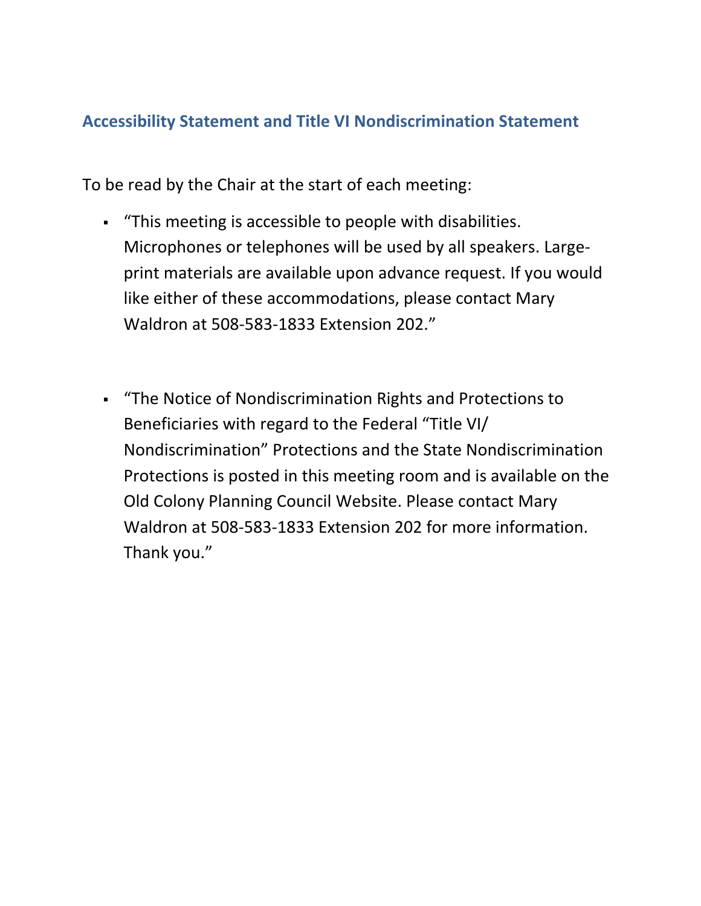#### **Accessibility Statement and Title VI Nondiscrimination Statement**

To be read by the Chair at the start of each meeting:

- "This meeting is accessible to people with disabilities. Microphones or telephones will be used by all speakers. Largeprint materials are available upon advance request. If you would like either of these accommodations, please contact Mary Waldron at 508-583-1833 Extension 202."
- "The Notice of Nondiscrimination Rights and Protections to Beneficiaries with regard to the Federal "Title VI/ Nondiscrimination" Protections and the State Nondiscrimination Protections is posted in this meeting room and is available on the Old Colony Planning Council Website. Please contact Mary Waldron at 508-583-1833 Extension 202 for more information. Thank you."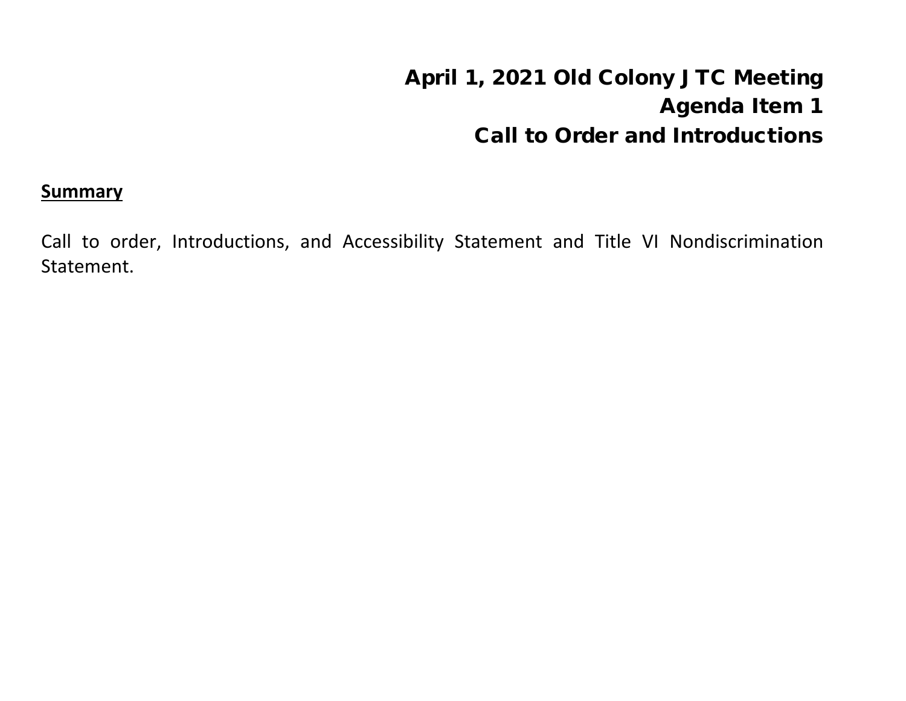# April 1, 2021 Old Colony JTC Meeting Agenda Item 1 Call to Order and Introductions

#### **Summary**

Call to order, Introductions, and Accessibility Statement and Title VI Nondiscrimination Statement.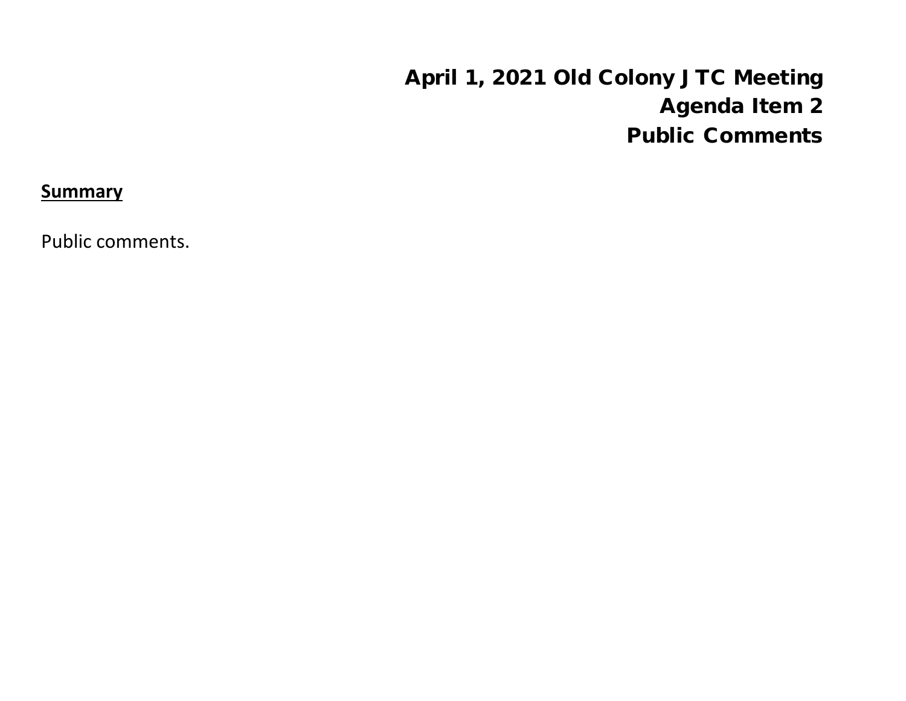# April 1, 2021 Old Colony JTC Meeting Agenda Item 2 Public Comments

**Summary**

Public comments.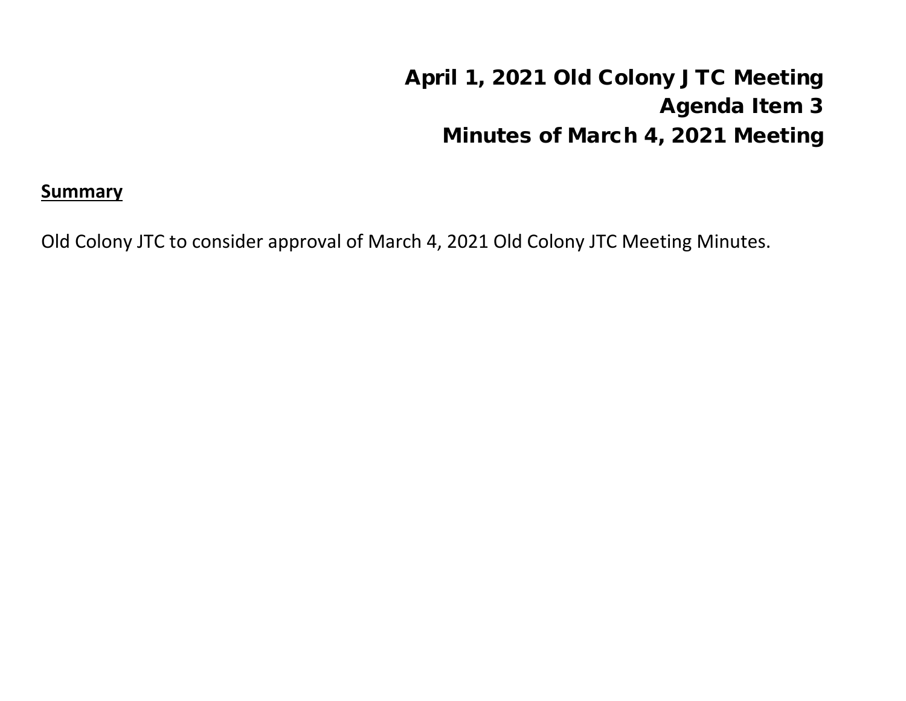# April 1, 2021 Old Colony JTC Meeting Agenda Item 3 Minutes of March 4, 2021 Meeting

## **Summary**

Old Colony JTC to consider approval of March 4, 2021 Old Colony JTC Meeting Minutes.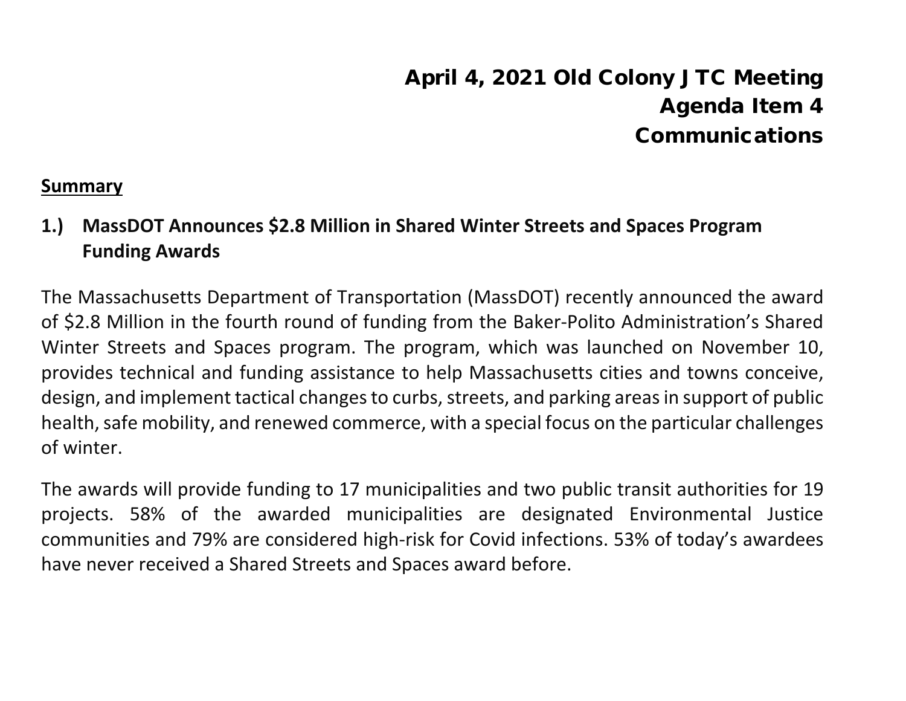# April 4, 2021 Old Colony JTC Meeting Agenda Item 4 Communications

#### **Summary**

**1.) MassDOT Announces \$2.8 Million in Shared Winter Streets and Spaces Program Funding Awards**

The Massachusetts Department of Transportation (MassDOT) recently announced the award of \$2.8 Million in the fourth round of funding from the Baker-Polito Administration's Shared Winter Streets and Spaces program. The program, which was launched on November 10, provides technical and funding assistance to help Massachusetts cities and towns conceive, design, and implement tactical changes to curbs, streets, and parking areas in support of public health, safe mobility, and renewed commerce, with a special focus on the particular challenges of winter.

The awards will provide funding to 17 municipalities and two public transit authorities for 19 projects. 58% of the awarded municipalities are designated Environmental Justice communities and 79% are considered high-risk for Covid infections. 53% of today's awardees have never received a Shared Streets and Spaces award before.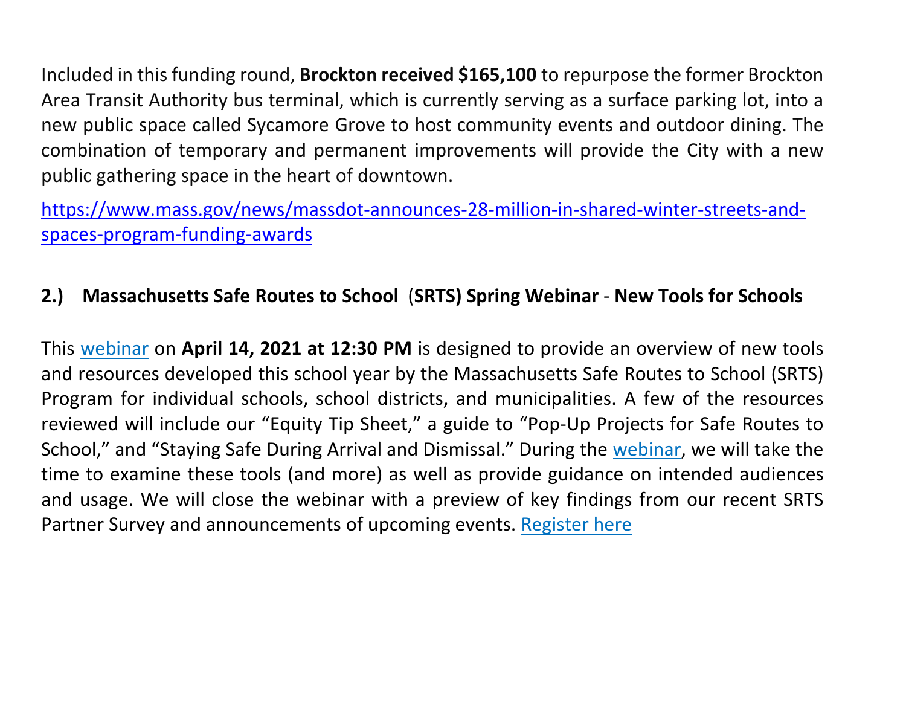Included in this funding round, **Brockton received \$165,100** to repurpose the former Brockton Area Transit Authority bus terminal, which is currently serving as a surface parking lot, into a new public space called Sycamore Grove to host community events and outdoor dining. The combination of temporary and permanent improvements will provide the City with a new public gathering space in the heart of downtown.

[https://www.mass.gov/news/massdot-announces-28-million-in-shared-winter-streets-and](about:blank)[spaces-program-funding-awards](about:blank)

## **2.) Massachusetts Safe Routes to School** (**SRTS) Spring Webinar** - **New Tools for Schools**

This [webinar](about:blank) on **April 14, 2021 at 12:30 PM** is designed to provide an overview of new tools and resources developed this school year by the Massachusetts Safe Routes to School (SRTS) Program for individual schools, school districts, and municipalities. A few of the resources reviewed will include our "Equity Tip Sheet," a guide to "Pop-Up Projects for Safe Routes to School," and "Staying Safe During Arrival and Dismissal." During the [webinar,](about:blank) we will take the time to examine these tools (and more) as well as provide guidance on intended audiences and usage. We will close the webinar with a preview of key findings from our recent SRTS Partner Survey and announcements of upcoming events. [Register](about:blank) here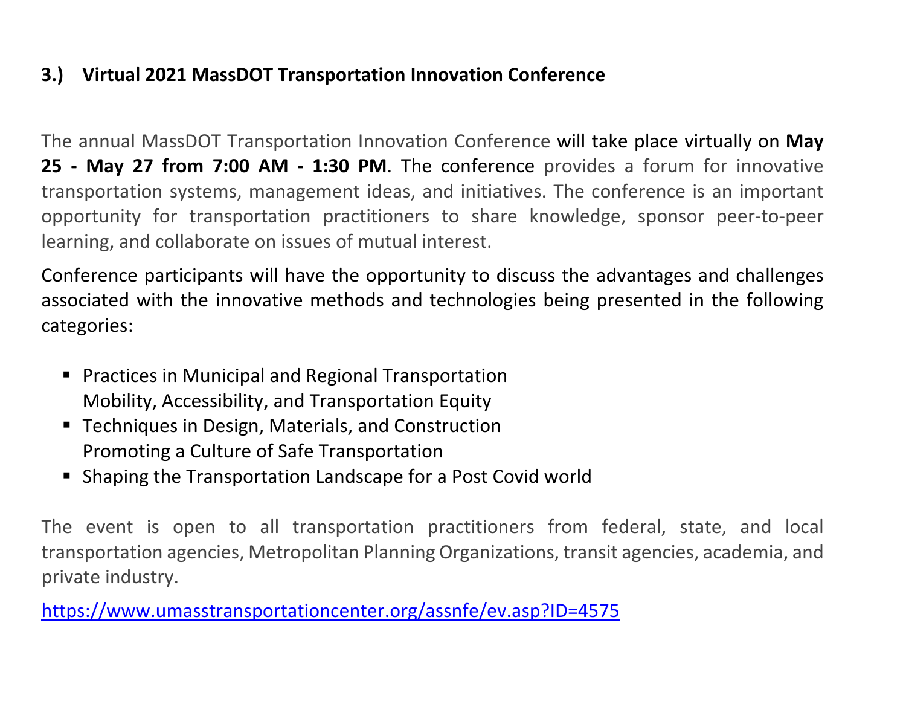## **3.) Virtual 2021 MassDOT Transportation Innovation Conference**

The annual MassDOT Transportation Innovation Conference will take place virtually on **May 25 - May 27 from 7:00 AM - 1:30 PM**. The conference provides a forum for innovative transportation systems, management ideas, and initiatives. The conference is an important opportunity for transportation practitioners to share knowledge, sponsor peer-to-peer learning, and collaborate on issues of mutual interest.

Conference participants will have the opportunity to discuss the advantages and challenges associated with the innovative methods and technologies being presented in the following categories:

- **Practices in Municipal and Regional Transportation** Mobility, Accessibility, and Transportation Equity
- **Techniques in Design, Materials, and Construction** Promoting a Culture of Safe Transportation
- Shaping the Transportation Landscape for a Post Covid world

The event is open to all transportation practitioners from federal, state, and local transportation agencies, Metropolitan Planning Organizations, transit agencies, academia, and private industry.

[https://www.umasstransportationcenter.org/assnfe/ev.asp?ID=4575](about:blank)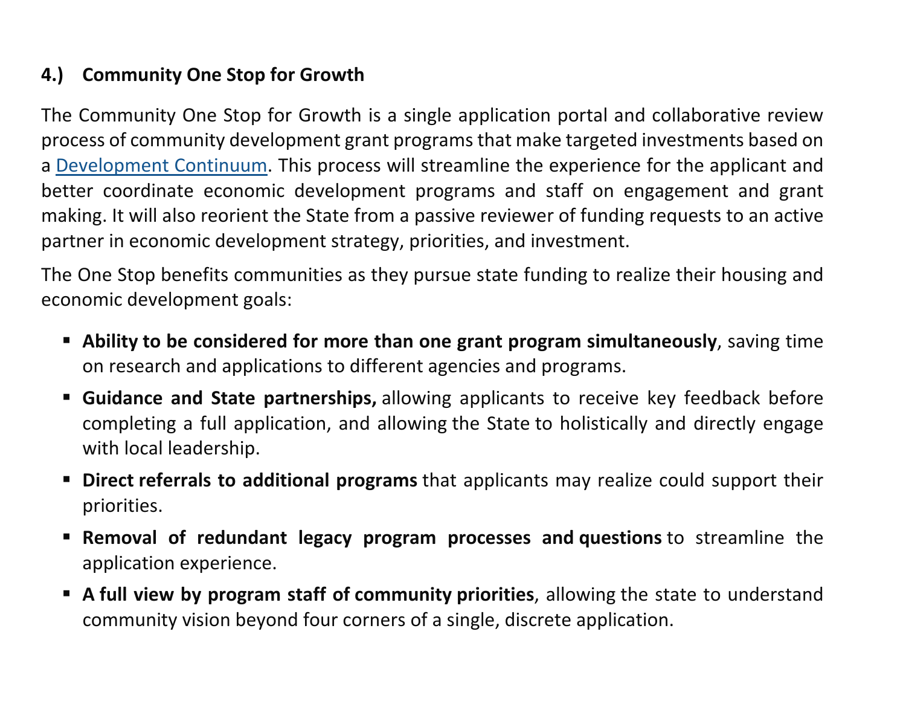# **4.) Community One Stop for Growth**

The Community One Stop for Growth is a single application portal and collaborative review process of community development grant programs that make targeted investments based on a [Development Continuum.](about:blank) This process will streamline the experience for the applicant and better coordinate economic development programs and staff on engagement and grant making. It will also reorient the State from a passive reviewer of funding requests to an active partner in economic development strategy, priorities, and investment.

The One Stop benefits communities as they pursue state funding to realize their housing and economic development goals:

- **Ability to be considered for more than one grant program simultaneously**, saving time on research and applications to different agencies and programs.
- **Guidance and State partnerships,** allowing applicants to receive key feedback before completing a full application, and allowing the State to holistically and directly engage with local leadership.
- **Direct referrals to additional programs** that applicants may realize could support their priorities.
- **Removal of redundant legacy program processes and questions** to streamline the application experience.
- **A full view by program staff of community priorities**, allowing the state to understand community vision beyond four corners of a single, discrete application.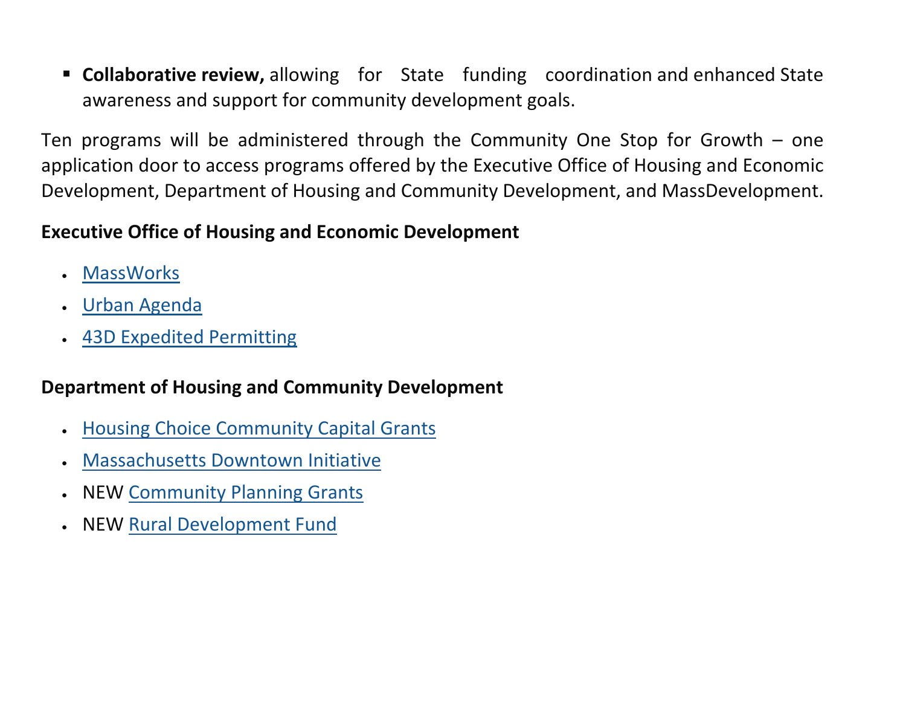**Collaborative review,** allowing for State funding coordination and enhanced State awareness and support for community development goals.

Ten programs will be administered through the Community One Stop for Growth – one application door to access programs offered by the Executive Office of Housing and Economic Development, Department of Housing and Community Development, and MassDevelopment.

## **Executive Office of Housing and Economic Development**

- [MassWorks](about:blank)
- [Urban Agenda](about:blank)
- [43D Expedited Permitting](about:blank)

## **Department of Housing and Community Development**

- [Housing Choice Community Capital Grants](about:blank)
- Massachusetts [Downtown Initiative](about:blank)
- NEW [Community Planning Grants](about:blank)
- NEW [Rural Development Fund](about:blank)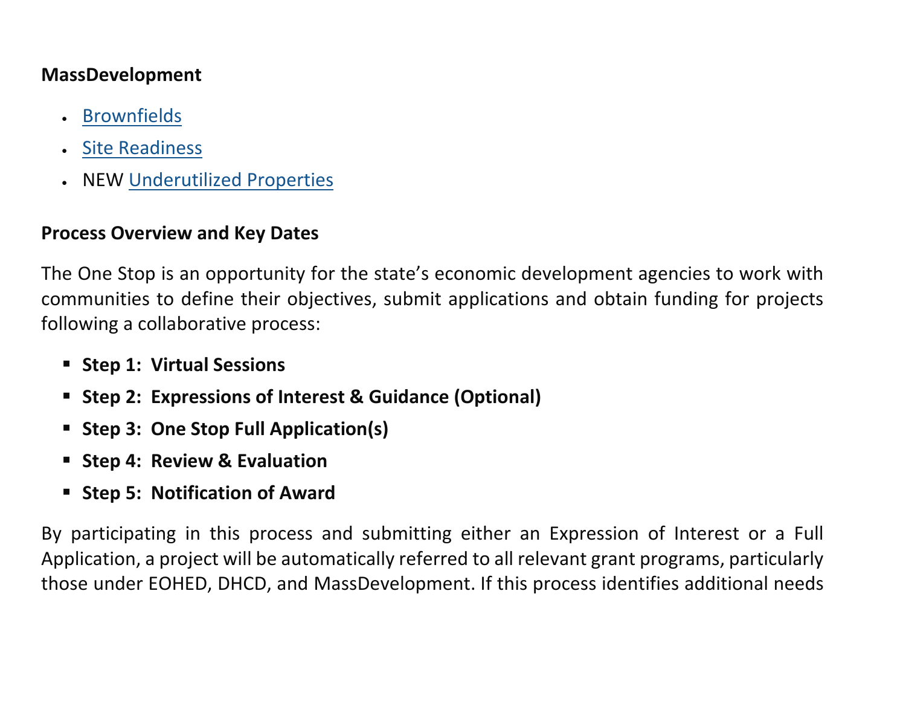#### **MassDevelopment**

- [Brownfields](about:blank#brownfields)
- [Site Readiness](about:blank)
- NEW [Underutilized](about:blank) [Properties](about:blank)

#### **Process Overview and Key Dates**

The One Stop is an opportunity for the state's economic development agencies to work with communities to define their objectives, submit applications and obtain funding for projects following a collaborative process:

- **F** Step 1: Virtual Sessions
- **Step 2: Expressions of Interest & Guidance (Optional)**
- **Step 3: One Stop Full Application(s)**
- **F** Step 4: Review & Evaluation
- **F** Step 5: Notification of Award

By participating in this process and submitting either an Expression of Interest or a Full Application, a project will be automatically referred to all relevant grant programs, particularly those under EOHED, DHCD, and MassDevelopment. If this process identifies additional needs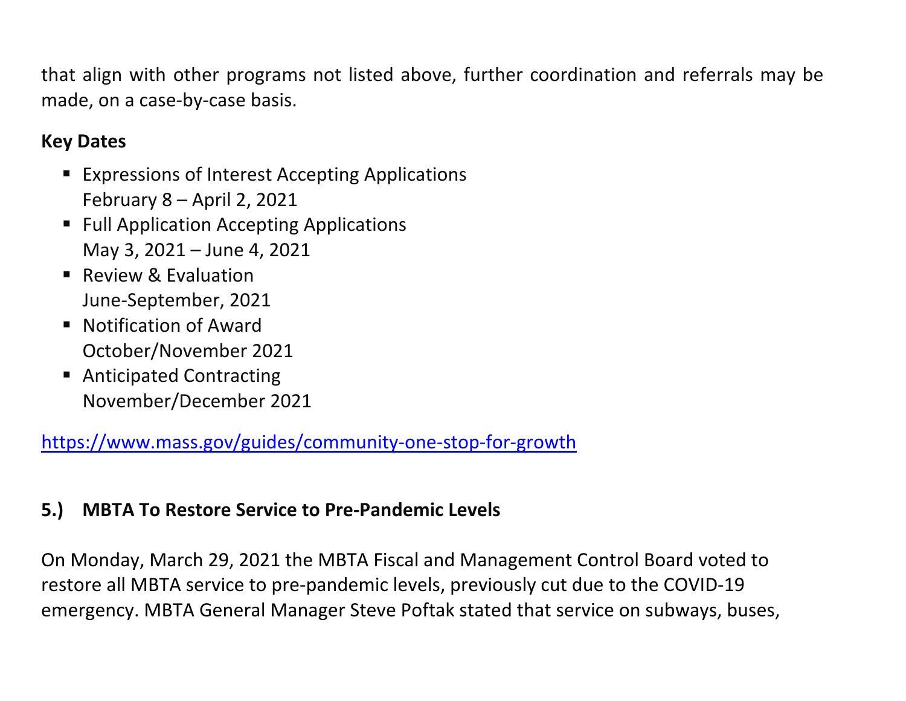that align with other programs not listed above, further coordination and referrals may be made, on a case-by-case basis.

# **Key Dates**

- **Expressions of Interest Accepting Applications** February 8 – April 2, 2021
- **Full Application Accepting Applications** May 3, 2021 – June 4, 2021
- Review & Evaluation June-September, 2021
- Notification of Award October/November 2021
- Anticipated Contracting November/December 2021

[https://www.mass.gov/guides/community-one-stop-for-growth](about:blank)

## **5.) MBTA To Restore Service to Pre-Pandemic Levels**

On Monday, March 29, 2021 the MBTA Fiscal and Management Control Board voted to restore all MBTA service to pre-pandemic levels, previously cut due to the COVID-19 emergency. MBTA General Manager Steve Poftak stated that service on subways, buses,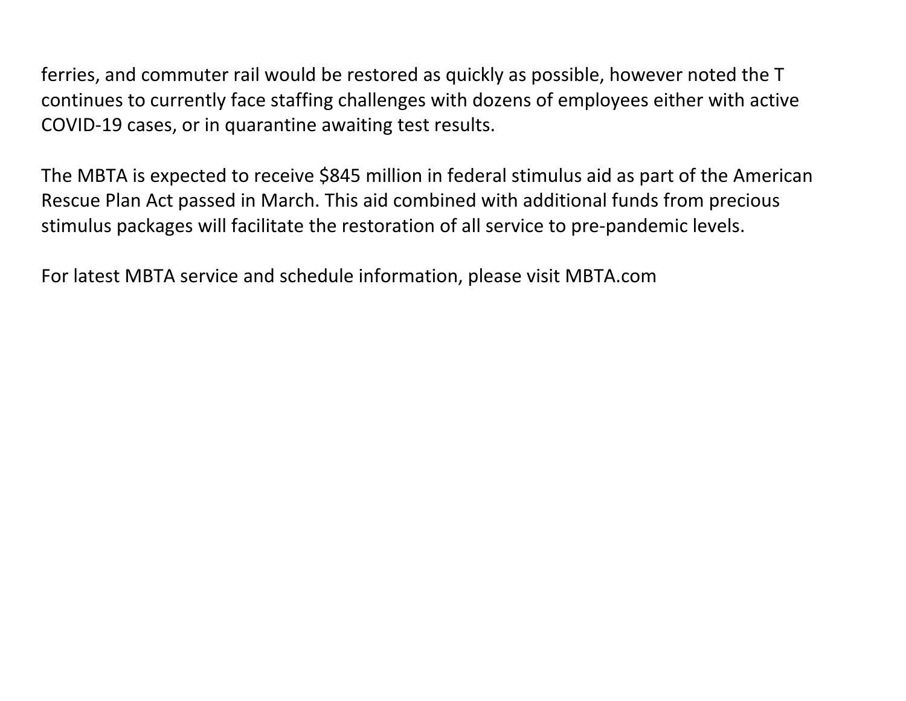ferries, and commuter rail would be restored as quickly as possible, however noted the T continues to currently face staffing challenges with dozens of employees either with active COVID-19 cases, or in quarantine awaiting test results.

The MBTA is expected to receive \$845 million in federal stimulus aid as part of the American Rescue Plan Act passed in March. This aid combined with additional funds from precious stimulus packages will facilitate the restoration of all service to pre-pandemic levels.

For latest MBTA service and schedule information, please visit MBTA.com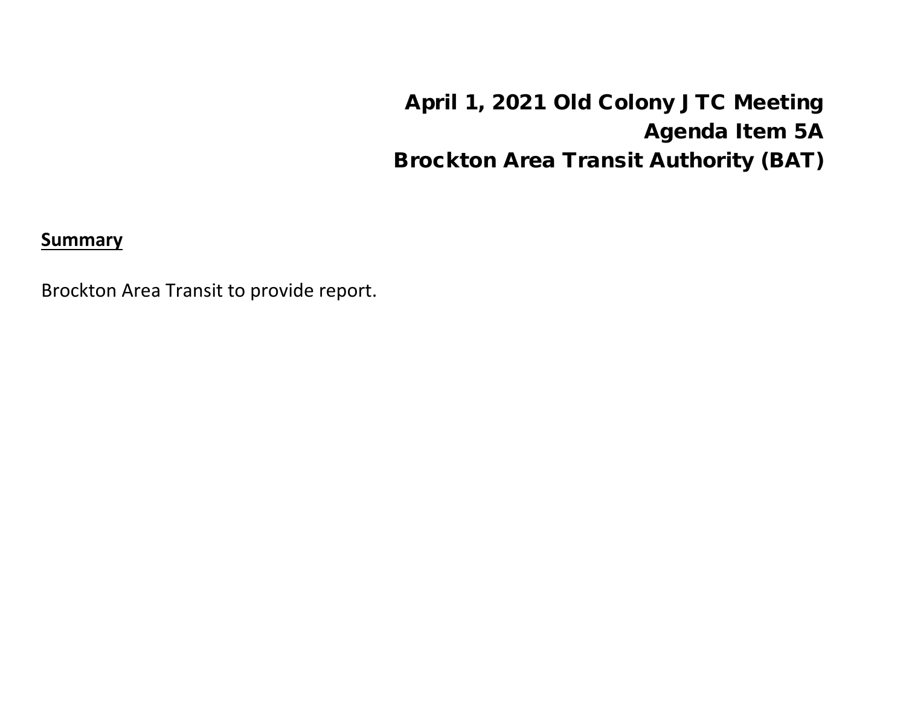April 1, 2021 Old Colony JTC Meeting Agenda Item 5A Brockton Area Transit Authority (BAT)

**Summary**

Brockton Area Transit to provide report.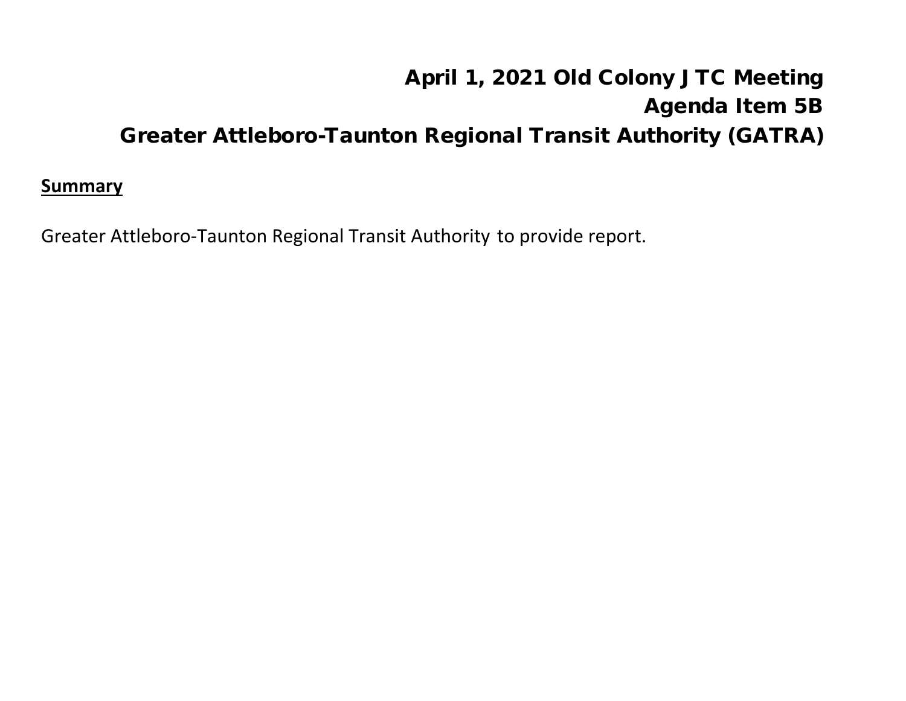# April 1, 2021 Old Colony JTC Meeting Agenda Item 5B Greater Attleboro-Taunton Regional Transit Authority (GATRA)

#### **Summary**

Greater Attleboro-Taunton Regional Transit Authority to provide report.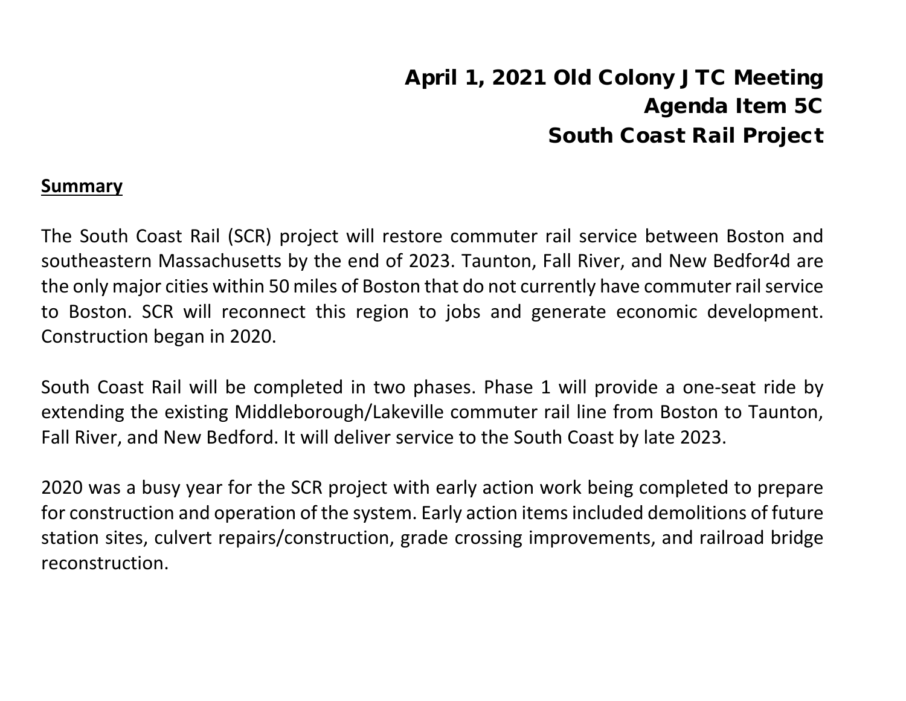# April 1, 2021 Old Colony JTC Meeting Agenda Item 5C South Coast Rail Project

#### **Summary**

The South Coast Rail (SCR) project will restore commuter rail service between Boston and southeastern Massachusetts by the end of 2023. Taunton, Fall River, and New Bedfor4d are the only major cities within 50 miles of Boston that do not currently have commuter rail service to Boston. SCR will reconnect this region to jobs and generate economic development. Construction began in 2020.

South Coast Rail will be completed in two phases. Phase 1 will provide a one-seat ride by extending the existing Middleborough/Lakeville commuter rail line from Boston to Taunton, Fall River, and New Bedford. It will deliver service to the South Coast by late 2023.

2020 was a busy year for the SCR project with early action work being completed to prepare for construction and operation of the system. Early action items included demolitions of future station sites, culvert repairs/construction, grade crossing improvements, and railroad bridge reconstruction.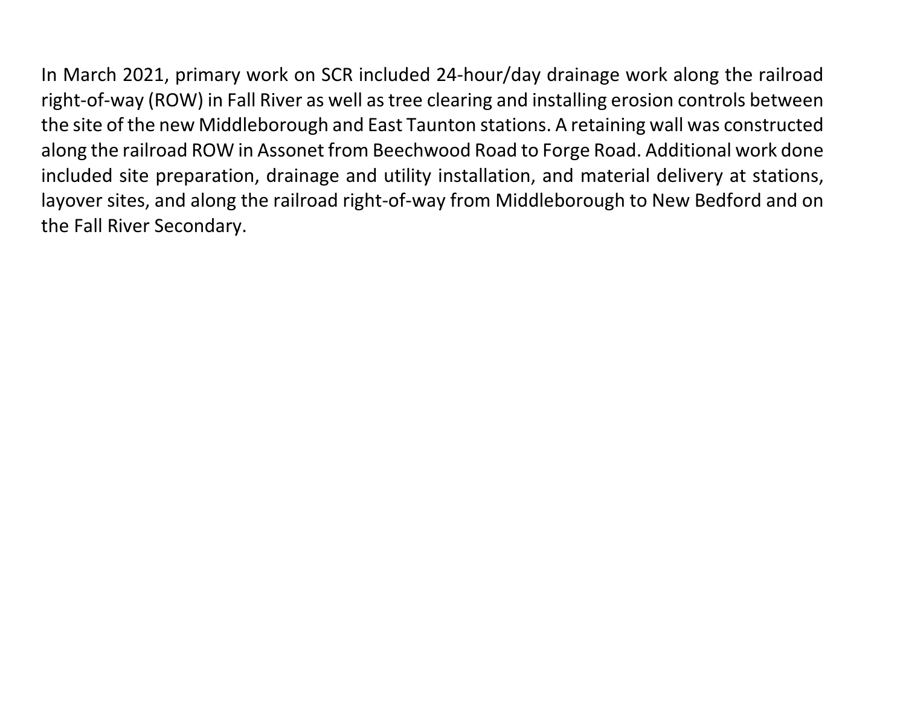In March 2021, primary work on SCR included 24-hour/day drainage work along the railroad right-of-way (ROW) in Fall River as well as tree clearing and installing erosion controls between the site of the new Middleborough and East Taunton stations. A retaining wall was constructed along the railroad ROW in Assonet from Beechwood Road to Forge Road. Additional work done included site preparation, drainage and utility installation, and material delivery at stations, layover sites, and along the railroad right-of-way from Middleborough to New Bedford and on the Fall River Secondary.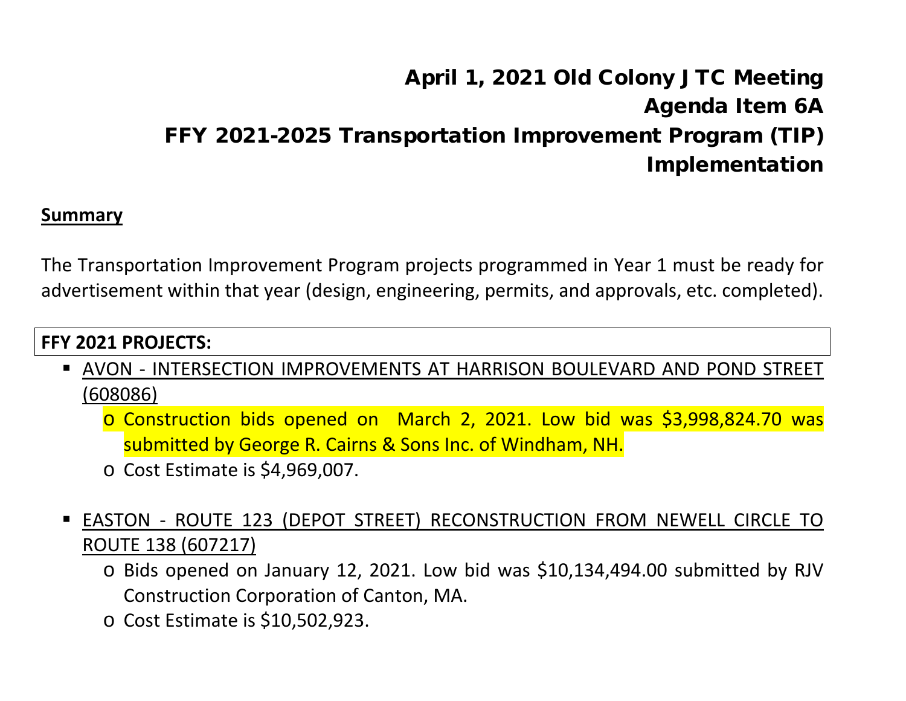# April 1, 2021 Old Colony JTC Meeting Agenda Item 6A FFY 2021-2025 Transportation Improvement Program (TIP) Implementation

#### **Summary**

The Transportation Improvement Program projects programmed in Year 1 must be ready for advertisement within that year (design, engineering, permits, and approvals, etc. completed).

### **FFY 2021 PROJECTS:**

- AVON INTERSECTION IMPROVEMENTS AT HARRISON BOULEVARD AND POND STREET (608086)
	- o Construction bids opened on March 2, 2021. Low bid was \$3,998,824.70 was submitted by George R. Cairns & Sons Inc. of Windham, NH.
	- o Cost Estimate is \$4,969,007.
- EASTON ROUTE 123 (DEPOT STREET) RECONSTRUCTION FROM NEWELL CIRCLE TO ROUTE 138 (607217)
	- o Bids opened on January 12, 2021. Low bid was \$10,134,494.00 submitted by RJV Construction Corporation of Canton, MA.
	- o Cost Estimate is \$10,502,923.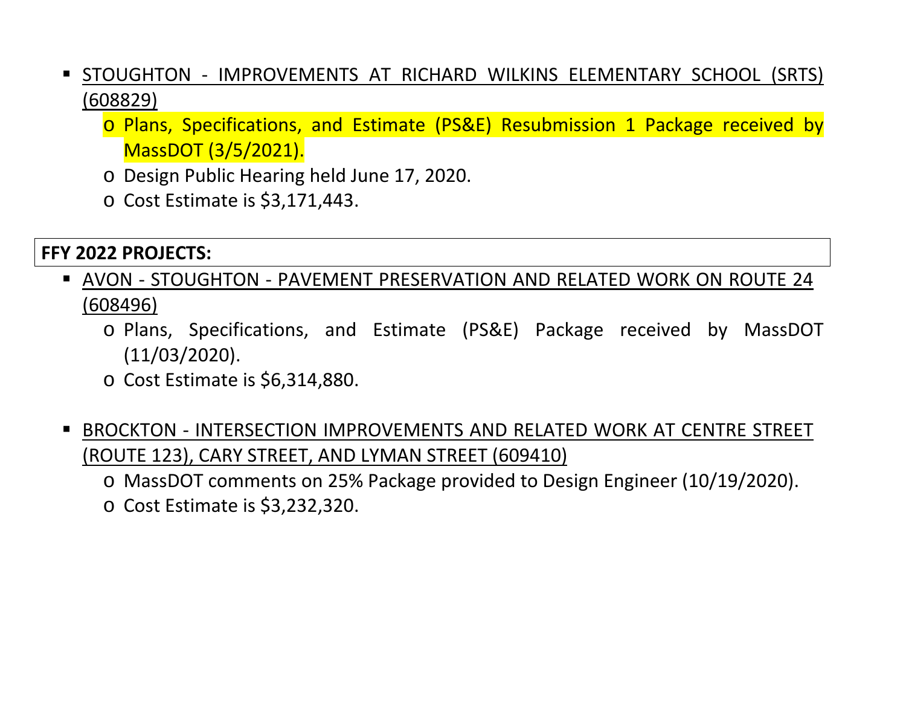- STOUGHTON IMPROVEMENTS AT RICHARD WILKINS ELEMENTARY SCHOOL (SRTS) (608829)
	- o Plans, Specifications, and Estimate (PS&E) Resubmission 1 Package received by MassDOT (3/5/2021).
	- o Design Public Hearing held June 17, 2020.
	- o Cost Estimate is \$3,171,443.

### **FFY 2022 PROJECTS:**

- AVON STOUGHTON PAVEMENT PRESERVATION AND RELATED WORK ON ROUTE 24 (608496)
	- o Plans, Specifications, and Estimate (PS&E) Package received by MassDOT (11/03/2020).
	- o Cost Estimate is \$6,314,880.
- BROCKTON INTERSECTION IMPROVEMENTS AND RELATED WORK AT CENTRE STREET (ROUTE 123), CARY STREET, AND LYMAN STREET (609410)
	- o MassDOT comments on 25% Package provided to Design Engineer (10/19/2020).
	- o Cost Estimate is \$3,232,320.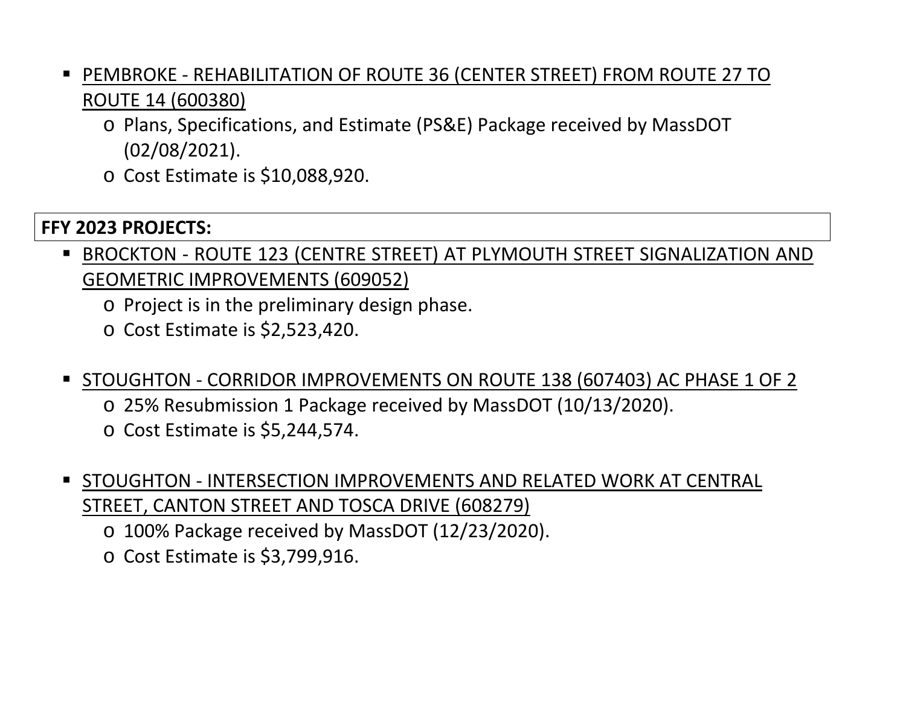- PEMBROKE REHABILITATION OF ROUTE 36 (CENTER STREET) FROM ROUTE 27 TO ROUTE 14 (600380)
	- o Plans, Specifications, and Estimate (PS&E) Package received by MassDOT (02/08/2021).
	- o Cost Estimate is \$10,088,920.

### **FFY 2023 PROJECTS:**

- BROCKTON ROUTE 123 (CENTRE STREET) AT PLYMOUTH STREET SIGNALIZATION AND GEOMETRIC IMPROVEMENTS (609052)
	- o Project is in the preliminary design phase.
	- o Cost Estimate is \$2,523,420.
- STOUGHTON CORRIDOR IMPROVEMENTS ON ROUTE 138 (607403) AC PHASE 1 OF 2
	- o 25% Resubmission 1 Package received by MassDOT (10/13/2020).
	- o Cost Estimate is \$5,244,574.
- **STOUGHTON INTERSECTION IMPROVEMENTS AND RELATED WORK AT CENTRAL** STREET, CANTON STREET AND TOSCA DRIVE (608279)
	- o 100% Package received by MassDOT (12/23/2020).
	- o Cost Estimate is \$3,799,916.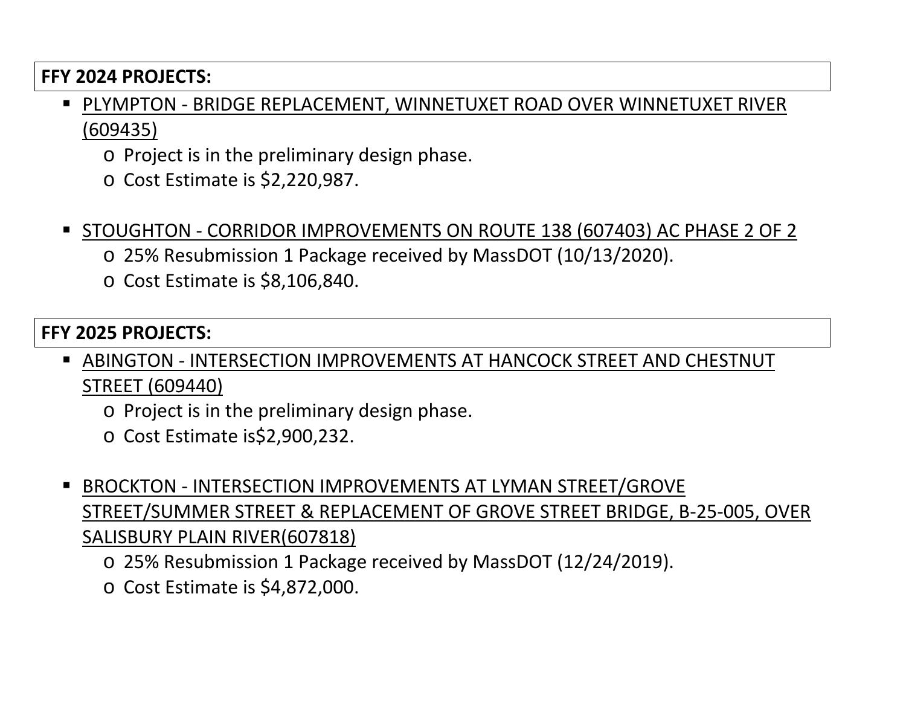#### **FFY 2024 PROJECTS:**

- PLYMPTON BRIDGE REPLACEMENT, WINNETUXET ROAD OVER WINNETUXET RIVER (609435)
	- o Project is in the preliminary design phase.
	- o Cost Estimate is \$2,220,987.
- STOUGHTON CORRIDOR IMPROVEMENTS ON ROUTE 138 (607403) AC PHASE 2 OF 2
	- o 25% Resubmission 1 Package received by MassDOT (10/13/2020).
	- o Cost Estimate is \$8,106,840.

#### **FFY 2025 PROJECTS:**

- ABINGTON INTERSECTION IMPROVEMENTS AT HANCOCK STREET AND CHESTNUT STREET (609440)
	- o Project is in the preliminary design phase.
	- o Cost Estimate is\$2,900,232.
- BROCKTON INTERSECTION IMPROVEMENTS AT LYMAN STREET/GROVE STREET/SUMMER STREET & REPLACEMENT OF GROVE STREET BRIDGE, B-25-005, OVER SALISBURY PLAIN RIVER(607818)
	- o 25% Resubmission 1 Package received by MassDOT (12/24/2019).
	- o Cost Estimate is \$4,872,000.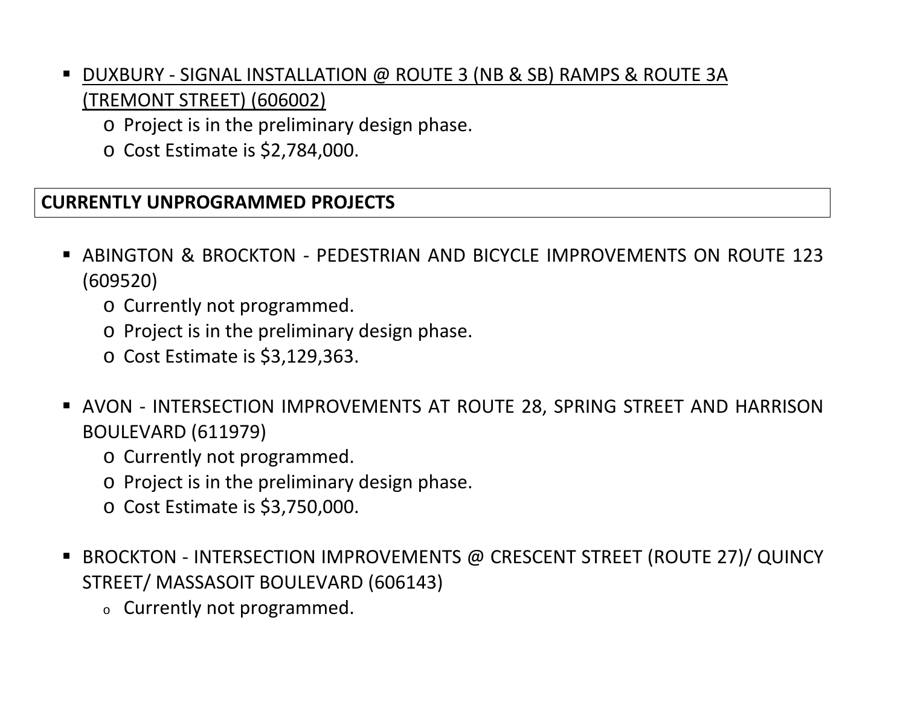## DUXBURY - SIGNAL INSTALLATION @ ROUTE 3 (NB & SB) RAMPS & ROUTE 3A (TREMONT STREET) (606002)

- o Project is in the preliminary design phase.
- o Cost Estimate is \$2,784,000.

### **CURRENTLY UNPROGRAMMED PROJECTS**

- ABINGTON & BROCKTON PEDESTRIAN AND BICYCLE IMPROVEMENTS ON ROUTE 123 (609520)
	- o Currently not programmed.
	- o Project is in the preliminary design phase.
	- o Cost Estimate is \$3,129,363.
- AVON INTERSECTION IMPROVEMENTS AT ROUTE 28, SPRING STREET AND HARRISON BOULEVARD (611979)
	- o Currently not programmed.
	- o Project is in the preliminary design phase.
	- o Cost Estimate is \$3,750,000.
- BROCKTON INTERSECTION IMPROVEMENTS @ CRESCENT STREET (ROUTE 27)/ QUINCY STREET/ MASSASOIT BOULEVARD (606143)
	- <sup>o</sup> Currently not programmed.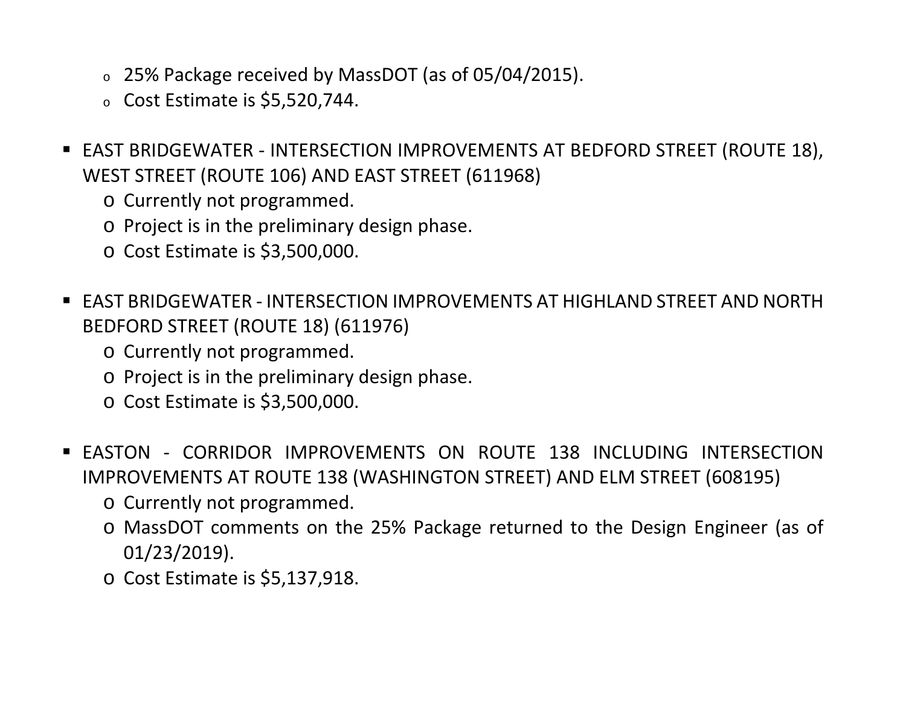- <sup>o</sup> 25% Package received by MassDOT (as of 05/04/2015).
- $\circ$  Cost Estimate is \$5,520,744.
- EAST BRIDGEWATER INTERSECTION IMPROVEMENTS AT BEDFORD STREET (ROUTE 18), WEST STREET (ROUTE 106) AND EAST STREET (611968)
	- o Currently not programmed.
	- o Project is in the preliminary design phase.
	- o Cost Estimate is \$3,500,000.
- EAST BRIDGEWATER INTERSECTION IMPROVEMENTS AT HIGHLAND STREET AND NORTH BEDFORD STREET (ROUTE 18) (611976)
	- o Currently not programmed.
	- o Project is in the preliminary design phase.
	- o Cost Estimate is \$3,500,000.
- EASTON CORRIDOR IMPROVEMENTS ON ROUTE 138 INCLUDING INTERSECTION IMPROVEMENTS AT ROUTE 138 (WASHINGTON STREET) AND ELM STREET (608195)
	- o Currently not programmed.
	- o MassDOT comments on the 25% Package returned to the Design Engineer (as of 01/23/2019).
	- o Cost Estimate is \$5,137,918.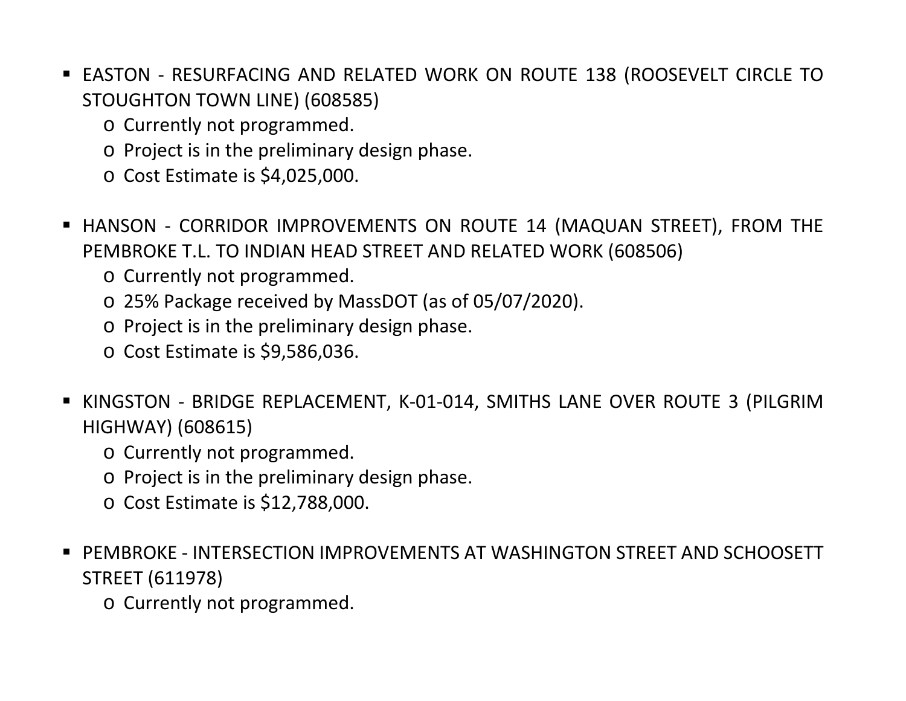- EASTON RESURFACING AND RELATED WORK ON ROUTE 138 (ROOSEVELT CIRCLE TO STOUGHTON TOWN LINE) (608585)
	- o Currently not programmed.
	- o Project is in the preliminary design phase.
	- o Cost Estimate is \$4,025,000.
- HANSON CORRIDOR IMPROVEMENTS ON ROUTE 14 (MAQUAN STREET), FROM THE PEMBROKE T.L. TO INDIAN HEAD STREET AND RELATED WORK (608506)
	- o Currently not programmed.
	- o 25% Package received by MassDOT (as of 05/07/2020).
	- o Project is in the preliminary design phase.
	- o Cost Estimate is \$9,586,036.
- KINGSTON BRIDGE REPLACEMENT, K-01-014, SMITHS LANE OVER ROUTE 3 (PILGRIM HIGHWAY) (608615)
	- o Currently not programmed.
	- o Project is in the preliminary design phase.
	- o Cost Estimate is \$12,788,000.
- PEMBROKE INTERSECTION IMPROVEMENTS AT WASHINGTON STREET AND SCHOOSETT STREET (611978)
	- o Currently not programmed.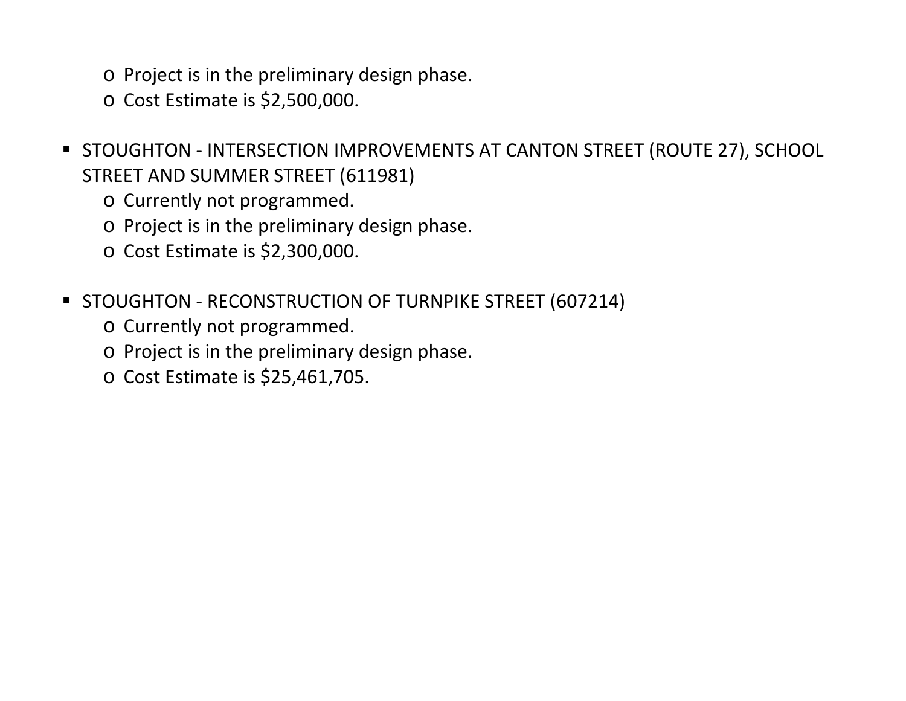- o Project is in the preliminary design phase.
- o Cost Estimate is \$2,500,000.
- **STOUGHTON INTERSECTION IMPROVEMENTS AT CANTON STREET (ROUTE 27), SCHOOL** STREET AND SUMMER STREET (611981)
	- o Currently not programmed.
	- o Project is in the preliminary design phase.
	- o Cost Estimate is \$2,300,000.
- **STOUGHTON RECONSTRUCTION OF TURNPIKE STREET (607214)** 
	- o Currently not programmed.
	- o Project is in the preliminary design phase.
	- o Cost Estimate is \$25,461,705.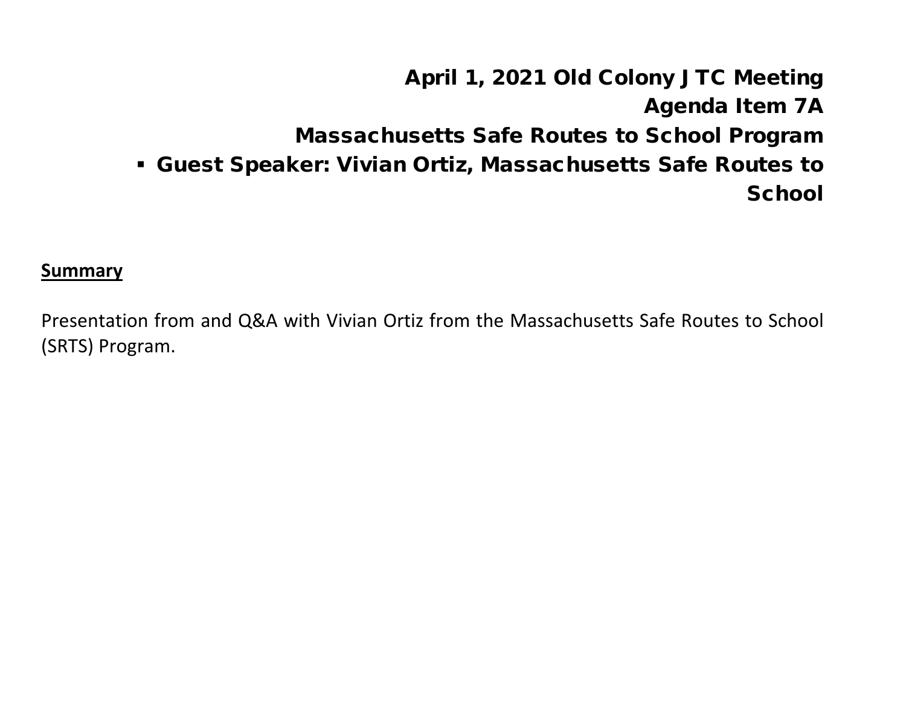# April 1, 2021 Old Colony JTC Meeting Agenda Item 7A Massachusetts Safe Routes to School Program Guest Speaker: Vivian Ortiz, Massachusetts Safe Routes to **School**

**Summary**

Presentation from and Q&A with Vivian Ortiz from the Massachusetts Safe Routes to School (SRTS) Program.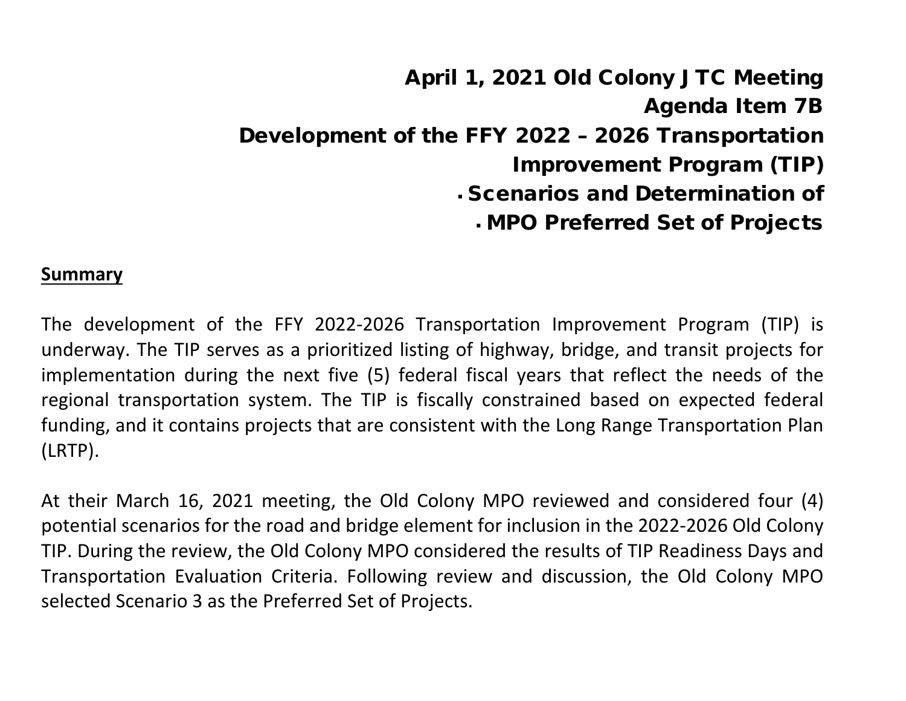April 1, 2021 Old Colony JTC Meeting Agenda Item 7B Development of the FFY 2022 – 2026 Transportation Improvement Program (TIP) Scenarios and Determination of MPO Preferred Set of Projects

#### **Summary**

The development of the FFY 2022-2026 Transportation Improvement Program (TIP) is underway. The TIP serves as a prioritized listing of highway, bridge, and transit projects for implementation during the next five (5) federal fiscal years that reflect the needs of the regional transportation system. The TIP is fiscally constrained based on expected federal funding, and it contains projects that are consistent with the Long Range Transportation Plan (LRTP).

At their March 16, 2021 meeting, the Old Colony MPO reviewed and considered four (4) potential scenarios for the road and bridge element for inclusion in the 2022-2026 Old Colony TIP. During the review, the Old Colony MPO considered the results of TIP Readiness Days and Transportation Evaluation Criteria. Following review and discussion, the Old Colony MPO selected Scenario 3 as the Preferred Set of Projects.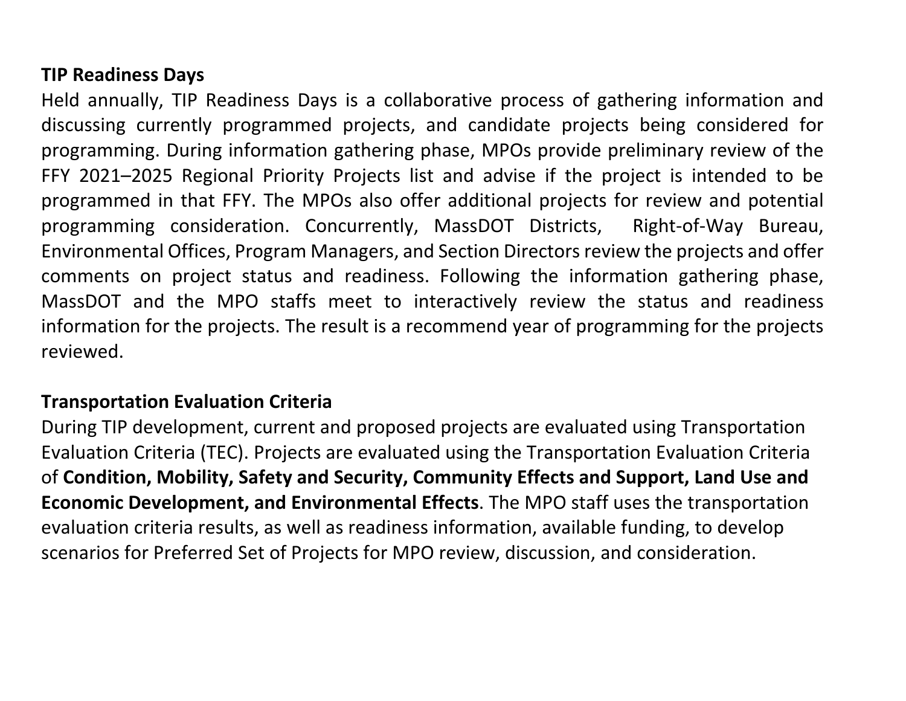#### **TIP Readiness Days**

Held annually, TIP Readiness Days is a collaborative process of gathering information and discussing currently programmed projects, and candidate projects being considered for programming. During information gathering phase, MPOs provide preliminary review of the FFY 2021–2025 Regional Priority Projects list and advise if the project is intended to be programmed in that FFY. The MPOs also offer additional projects for review and potential programming consideration. Concurrently, MassDOT Districts, Right-of-Way Bureau, Environmental Offices, Program Managers, and Section Directors review the projects and offer comments on project status and readiness. Following the information gathering phase, MassDOT and the MPO staffs meet to interactively review the status and readiness information for the projects. The result is a recommend year of programming for the projects reviewed.

### **Transportation Evaluation Criteria**

During TIP development, current and proposed projects are evaluated using Transportation Evaluation Criteria (TEC). Projects are evaluated using the Transportation Evaluation Criteria of **Condition, Mobility, Safety and Security, Community Effects and Support, Land Use and Economic Development, and Environmental Effects**. The MPO staff uses the transportation evaluation criteria results, as well as readiness information, available funding, to develop scenarios for Preferred Set of Projects for MPO review, discussion, and consideration.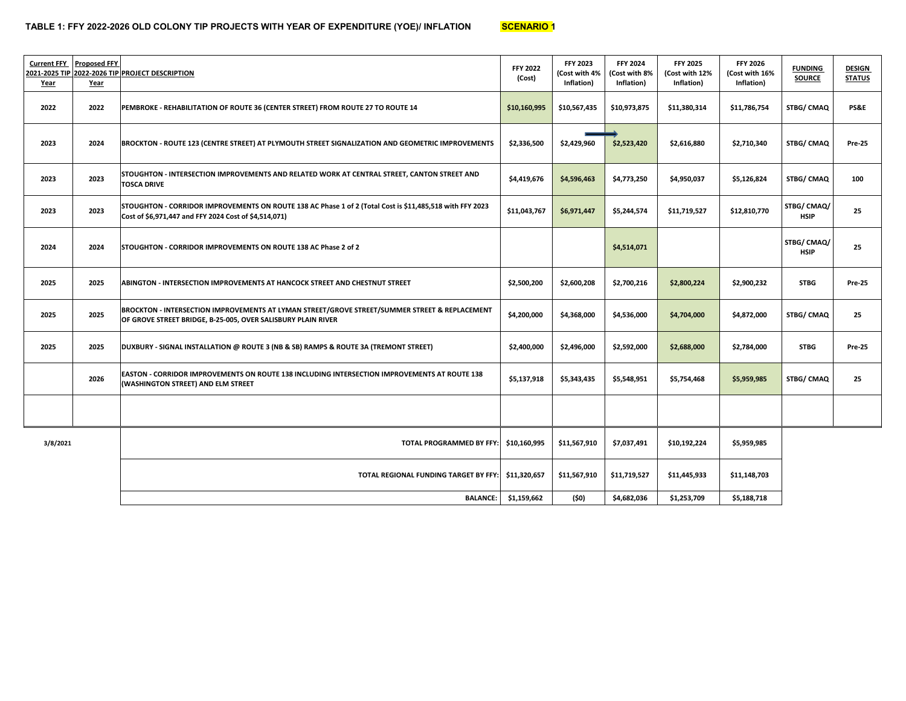| <b>Current FFY</b><br>Year | <b>Proposed FFY</b><br>Year | 2021-2025 TIP 2022-2026 TIP PROJECT DESCRIPTION                                                                                                                   | <b>FFY 2022</b><br>(Cost) | <b>FFY 2023</b><br>(Cost with 4%<br>Inflation) | <b>FFY 2024</b><br>(Cost with 8%<br>Inflation) | <b>FFY 2025</b><br>(Cost with 12%<br>Inflation) | <b>FFY 2026</b><br>(Cost with 16%<br>Inflation) | <b>FUNDING</b><br><b>SOURCE</b> | <b>DESIGN</b><br><b>STATUS</b> |
|----------------------------|-----------------------------|-------------------------------------------------------------------------------------------------------------------------------------------------------------------|---------------------------|------------------------------------------------|------------------------------------------------|-------------------------------------------------|-------------------------------------------------|---------------------------------|--------------------------------|
| 2022                       | 2022                        | PEMBROKE - REHABILITATION OF ROUTE 36 (CENTER STREET) FROM ROUTE 27 TO ROUTE 14                                                                                   | \$10,160,995              | \$10,567,435                                   | \$10,973,875                                   | \$11,380,314                                    | \$11,786,754                                    | STBG/ CMAQ                      | <b>PS&amp;E</b>                |
| 2023                       | 2024                        | BROCKTON - ROUTE 123 (CENTRE STREET) AT PLYMOUTH STREET SIGNALIZATION AND GEOMETRIC IMPROVEMENTS                                                                  | \$2,336,500               | \$2,429,960                                    | \$2,523,420                                    | \$2,616,880                                     | \$2,710,340                                     | STBG/ CMAQ                      | <b>Pre-25</b>                  |
| 2023                       | 2023                        | STOUGHTON - INTERSECTION IMPROVEMENTS AND RELATED WORK AT CENTRAL STREET, CANTON STREET AND<br><b>TOSCA DRIVE</b>                                                 | \$4,419,676               | \$4,596,463                                    | \$4,773,250                                    | \$4,950,037                                     | \$5,126,824                                     | STBG/CMAQ                       | 100                            |
| 2023                       | 2023                        | STOUGHTON - CORRIDOR IMPROVEMENTS ON ROUTE 138 AC Phase 1 of 2 (Total Cost is \$11,485,518 with FFY 2023<br>Cost of \$6,971,447 and FFY 2024 Cost of \$4,514,071) | \$11,043,767              | \$6,971,447                                    | \$5,244,574                                    | \$11,719,527                                    | \$12,810,770                                    | STBG/CMAQ/<br><b>HSIP</b>       | 25                             |
| 2024                       | 2024                        | <b>STOUGHTON - CORRIDOR IMPROVEMENTS ON ROUTE 138 AC Phase 2 of 2</b>                                                                                             |                           |                                                | \$4,514,071                                    |                                                 |                                                 | STBG/ CMAQ/<br><b>HSIP</b>      | 25                             |
| 2025                       | 2025                        | ABINGTON - INTERSECTION IMPROVEMENTS AT HANCOCK STREET AND CHESTNUT STREET                                                                                        | \$2,500,200               | \$2,600,208                                    | \$2,700,216                                    | \$2,800,224                                     | \$2,900,232                                     | <b>STBG</b>                     | <b>Pre-25</b>                  |
| 2025                       | 2025                        | BROCKTON - INTERSECTION IMPROVEMENTS AT LYMAN STREET/GROVE STREET/SUMMER STREET & REPLACEMENT<br>OF GROVE STREET BRIDGE, B-25-005, OVER SALISBURY PLAIN RIVER     | \$4,200,000               | \$4,368,000                                    | \$4,536,000                                    | \$4,704,000                                     | \$4,872,000                                     | STBG/ CMAQ                      | 25                             |
| 2025                       | 2025                        | DUXBURY - SIGNAL INSTALLATION @ ROUTE 3 (NB & SB) RAMPS & ROUTE 3A (TREMONT STREET)                                                                               | \$2,400,000               | \$2,496,000                                    | \$2,592,000                                    | \$2,688,000                                     | \$2,784,000                                     | <b>STBG</b>                     | <b>Pre-25</b>                  |
|                            | 2026                        | EASTON - CORRIDOR IMPROVEMENTS ON ROUTE 138 INCLUDING INTERSECTION IMPROVEMENTS AT ROUTE 138<br>(WASHINGTON STREET) AND ELM STREET                                | \$5,137,918               | \$5,343,435                                    | \$5,548,951                                    | \$5,754,468                                     | \$5,959,985                                     | STBG/ CMAQ                      | 25                             |
|                            |                             |                                                                                                                                                                   |                           |                                                |                                                |                                                 |                                                 |                                 |                                |
| 3/8/2021                   |                             | <b>TOTAL PROGRAMMED BY FFY:</b>                                                                                                                                   | \$10,160,995              | \$11,567,910                                   | \$7,037,491                                    | \$10,192,224                                    | \$5,959,985                                     |                                 |                                |
|                            |                             | TOTAL REGIONAL FUNDING TARGET BY FFY:                                                                                                                             | \$11,320,657              | \$11,567,910                                   | \$11,719,527                                   | \$11,445,933                                    | \$11,148,703                                    |                                 |                                |
|                            |                             | <b>BALANCE:</b>                                                                                                                                                   | \$1,159,662               | (\$0)                                          | \$4,682,036                                    | \$1,253,709                                     | \$5,188,718                                     |                                 |                                |

eri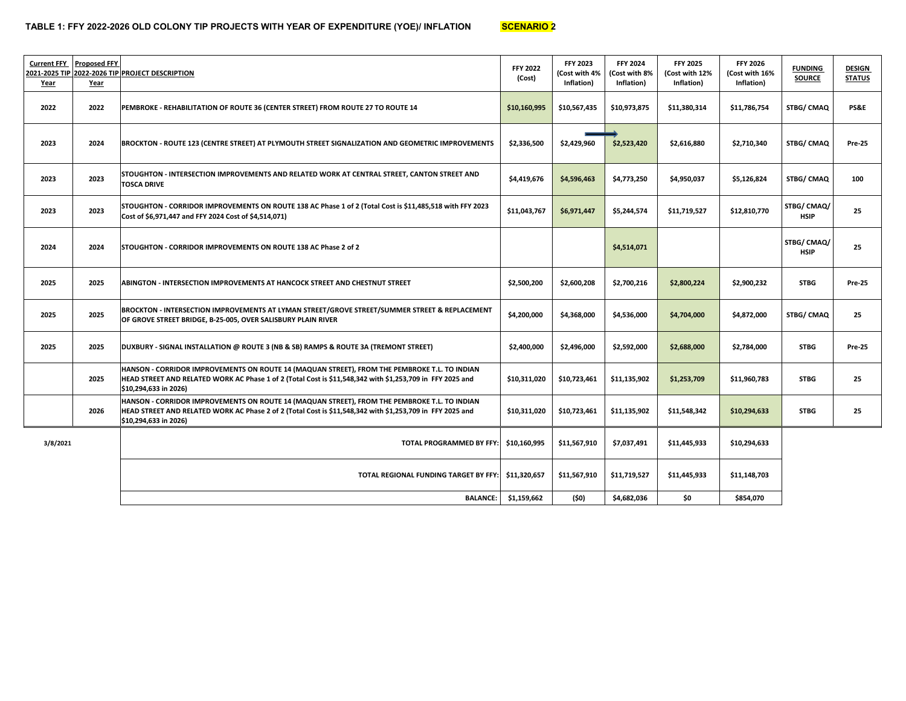| <b>Current FFY</b><br>Year | <b>Proposed FFY</b><br>Year | 2021-2025 TIP 2022-2026 TIP PROJECT DESCRIPTION                                                                                                                                                                                    |              | <b>FFY 2023</b><br>(Cost with 4%<br>Inflation) | <b>FFY 2024</b><br>(Cost with 8%<br>Inflation) | <b>FFY 2025</b><br>(Cost with 12%<br>Inflation) | <b>FFY 2026</b><br>(Cost with 16%<br>Inflation) | <b>FUNDING</b><br><b>SOURCE</b> | <b>DESIGN</b><br><b>STATUS</b> |
|----------------------------|-----------------------------|------------------------------------------------------------------------------------------------------------------------------------------------------------------------------------------------------------------------------------|--------------|------------------------------------------------|------------------------------------------------|-------------------------------------------------|-------------------------------------------------|---------------------------------|--------------------------------|
| 2022                       | 2022                        | PEMBROKE - REHABILITATION OF ROUTE 36 (CENTER STREET) FROM ROUTE 27 TO ROUTE 14                                                                                                                                                    | \$10,160,995 | \$10,567,435                                   | \$10,973,875                                   | \$11,380,314                                    | \$11,786,754                                    | STBG/ CMAQ                      | PS&E                           |
| 2023                       | 2024                        | \$2,336,500<br>BROCKTON - ROUTE 123 (CENTRE STREET) AT PLYMOUTH STREET SIGNALIZATION AND GEOMETRIC IMPROVEMENTS                                                                                                                    |              | \$2,429,960                                    | \$2,523,420                                    | \$2,616,880                                     | \$2,710,340                                     | STBG/ CMAQ                      | <b>Pre-25</b>                  |
| 2023                       | 2023                        | STOUGHTON - INTERSECTION IMPROVEMENTS AND RELATED WORK AT CENTRAL STREET, CANTON STREET AND<br><b>TOSCA DRIVE</b>                                                                                                                  | \$4,419,676  | \$4,596,463                                    | \$4,773,250                                    | \$4,950,037                                     | \$5,126,824                                     | STBG/ CMAQ                      | 100                            |
| 2023                       | 2023                        | STOUGHTON - CORRIDOR IMPROVEMENTS ON ROUTE 138 AC Phase 1 of 2 (Total Cost is \$11,485,518 with FFY 2023<br>Cost of \$6,971,447 and FFY 2024 Cost of \$4,514,071)                                                                  | \$11,043,767 | \$6,971,447                                    | \$5,244,574                                    | \$11,719,527                                    | \$12,810,770                                    | STBG/ CMAQ/<br><b>HSIP</b>      | 25                             |
| 2024                       | 2024                        | STOUGHTON - CORRIDOR IMPROVEMENTS ON ROUTE 138 AC Phase 2 of 2                                                                                                                                                                     |              |                                                | \$4,514,071                                    |                                                 |                                                 | STBG/ CMAQ/<br><b>HSIP</b>      | 25                             |
| 2025                       | 2025                        | ABINGTON - INTERSECTION IMPROVEMENTS AT HANCOCK STREET AND CHESTNUT STREET                                                                                                                                                         | \$2,500,200  | \$2,600,208                                    | \$2,700,216                                    | \$2,800,224                                     | \$2,900,232                                     | <b>STBG</b>                     | <b>Pre-25</b>                  |
| 2025                       | 2025                        | BROCKTON - INTERSECTION IMPROVEMENTS AT LYMAN STREET/GROVE STREET/SUMMER STREET & REPLACEMENT<br>OF GROVE STREET BRIDGE, B-25-005, OVER SALISBURY PLAIN RIVER                                                                      | \$4,200,000  | \$4,368,000                                    | \$4,536,000                                    | \$4,704,000                                     | \$4,872,000                                     | STBG/ CMAQ                      | 25                             |
| 2025                       | 2025                        | DUXBURY - SIGNAL INSTALLATION @ ROUTE 3 (NB & SB) RAMPS & ROUTE 3A (TREMONT STREET)                                                                                                                                                | \$2,400,000  | \$2,496,000                                    | \$2,592,000                                    | \$2,688,000                                     | \$2,784,000                                     | <b>STBG</b>                     | <b>Pre-25</b>                  |
|                            | 2025                        | HANSON - CORRIDOR IMPROVEMENTS ON ROUTE 14 (MAQUAN STREET), FROM THE PEMBROKE T.L. TO INDIAN<br>HEAD STREET AND RELATED WORK AC Phase 1 of 2 (Total Cost is \$11,548,342 with \$1,253,709 in FFY 2025 and<br>\$10,294,633 in 2026) | \$10,311,020 | \$10,723,461                                   | \$11,135,902                                   | \$1,253,709                                     | \$11,960,783                                    | <b>STBG</b>                     | 25                             |
|                            | 2026                        | HANSON - CORRIDOR IMPROVEMENTS ON ROUTE 14 (MAQUAN STREET), FROM THE PEMBROKE T.L. TO INDIAN<br>HEAD STREET AND RELATED WORK AC Phase 2 of 2 (Total Cost is \$11,548,342 with \$1,253,709 in FFY 2025 and<br>\$10,294,633 in 2026) | \$10,311,020 | \$10,723,461                                   | \$11,135,902                                   | \$11,548,342                                    | \$10,294,633                                    | <b>STBG</b>                     | 25                             |
| 3/8/2021                   |                             | <b>TOTAL PROGRAMMED BY FFY:</b>                                                                                                                                                                                                    | \$10,160,995 | \$11,567,910                                   | \$7,037,491                                    | \$11,445,933                                    | \$10,294,633                                    |                                 |                                |
|                            |                             | TOTAL REGIONAL FUNDING TARGET BY FFY:                                                                                                                                                                                              | \$11,320,657 | \$11,567,910                                   | \$11,719,527                                   | \$11,445,933                                    | \$11,148,703                                    |                                 |                                |
|                            |                             | <b>BALANCE:</b>                                                                                                                                                                                                                    | \$1,159,662  | (\$0)                                          | \$4,682,036                                    | \$0                                             | \$854,070                                       |                                 |                                |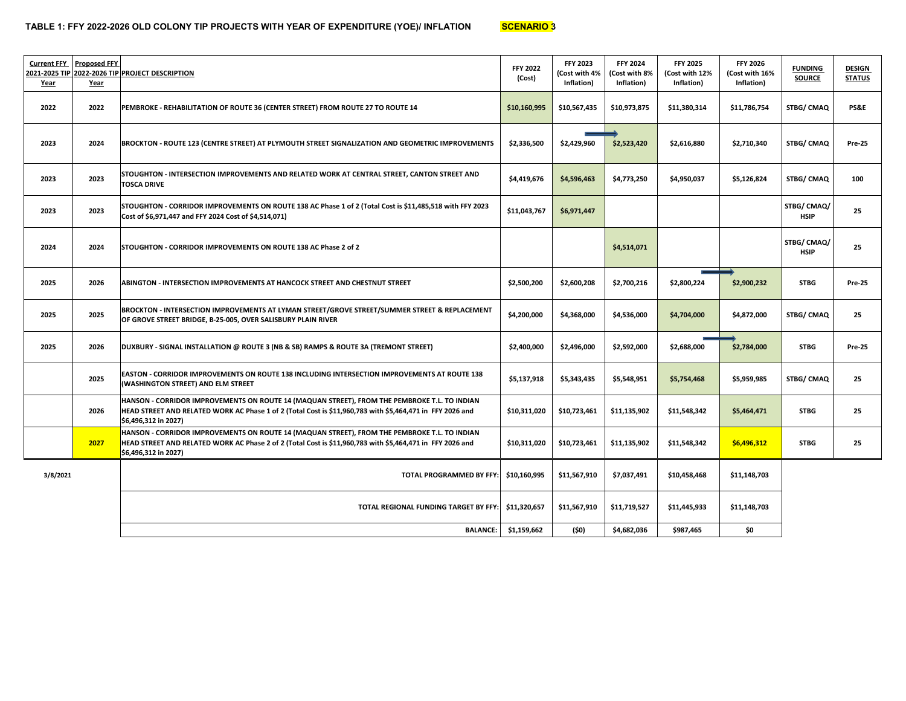| <b>Current FFY</b><br>2021-2025 TIP<br>Year | <b>Proposed FFY</b><br>Year | 2022-2026 TIP PROJECT DESCRIPTION                                                                                                                                                                                                 | <b>FFY 2022</b><br>(Cost) | <b>FFY 2023</b><br>(Cost with 4%<br>Inflation) | <b>FFY 2024</b><br>(Cost with 8%<br>Inflation) | <b>FFY 2025</b><br>Cost with 12%<br>Inflation) | <b>FFY 2026</b><br>(Cost with 16%<br>Inflation) | <b>FUNDING</b><br><b>SOURCE</b> | <b>DESIGN</b><br><b>STATUS</b> |
|---------------------------------------------|-----------------------------|-----------------------------------------------------------------------------------------------------------------------------------------------------------------------------------------------------------------------------------|---------------------------|------------------------------------------------|------------------------------------------------|------------------------------------------------|-------------------------------------------------|---------------------------------|--------------------------------|
| 2022                                        | 2022                        | PEMBROKE - REHABILITATION OF ROUTE 36 (CENTER STREET) FROM ROUTE 27 TO ROUTE 14                                                                                                                                                   | \$10,160,995              | \$10,567,435                                   | \$10,973,875                                   | \$11,380,314                                   | \$11,786,754                                    | <b>STBG/CMAQ</b>                | PS&E                           |
| 2023                                        | 2024                        | BROCKTON - ROUTE 123 (CENTRE STREET) AT PLYMOUTH STREET SIGNALIZATION AND GEOMETRIC IMPROVEMENTS                                                                                                                                  | \$2,336,500               | \$2,429,960                                    | \$2,523,420                                    | \$2,616,880                                    | \$2,710,340                                     | <b>STBG/ CMAQ</b>               | <b>Pre-25</b>                  |
| 2023                                        | 2023                        | STOUGHTON - INTERSECTION IMPROVEMENTS AND RELATED WORK AT CENTRAL STREET, CANTON STREET AND<br><b>TOSCA DRIVE</b>                                                                                                                 | \$4,419,676               | \$4,596,463                                    | \$4,773,250                                    | \$4,950,037                                    | \$5,126,824                                     | STBG/ CMAQ                      | 100                            |
| 2023                                        | 2023                        | STOUGHTON - CORRIDOR IMPROVEMENTS ON ROUTE 138 AC Phase 1 of 2 (Total Cost is \$11,485,518 with FFY 2023<br>\$11,043,767<br>\$6,971,447<br>Cost of \$6,971,447 and FFY 2024 Cost of \$4,514,071)                                  |                           | STBG/CMAQ/<br><b>HSIP</b>                      | 25                                             |                                                |                                                 |                                 |                                |
| 2024                                        | 2024                        | <b>STOUGHTON - CORRIDOR IMPROVEMENTS ON ROUTE 138 AC Phase 2 of 2</b>                                                                                                                                                             |                           |                                                | \$4,514,071                                    |                                                |                                                 | STBG/CMAQ/<br><b>HSIP</b>       | 25                             |
| 2025                                        | 2026                        | ABINGTON - INTERSECTION IMPROVEMENTS AT HANCOCK STREET AND CHESTNUT STREET                                                                                                                                                        | \$2,500,200               | \$2,600,208                                    | \$2,700,216                                    | \$2,900,232<br>\$2,800,224                     |                                                 | <b>STBG</b>                     | <b>Pre-25</b>                  |
| 2025                                        | 2025                        | BROCKTON - INTERSECTION IMPROVEMENTS AT LYMAN STREET/GROVE STREET/SUMMER STREET & REPLACEMENT<br>OF GROVE STREET BRIDGE, B-25-005, OVER SALISBURY PLAIN RIVER                                                                     | \$4,200,000               | \$4,368,000                                    | \$4,536,000                                    | \$4,704,000                                    | \$4,872,000                                     | <b>STBG/CMAQ</b>                | 25                             |
| 2025                                        | 2026                        | DUXBURY - SIGNAL INSTALLATION @ ROUTE 3 (NB & SB) RAMPS & ROUTE 3A (TREMONT STREET)                                                                                                                                               | \$2,400,000               | \$2,496,000                                    | \$2,592,000                                    | \$2,688,000                                    | \$2,784,000                                     | <b>STBG</b>                     | <b>Pre-25</b>                  |
|                                             | 2025                        | EASTON - CORRIDOR IMPROVEMENTS ON ROUTE 138 INCLUDING INTERSECTION IMPROVEMENTS AT ROUTE 138<br>(WASHINGTON STREET) AND ELM STREET                                                                                                | \$5,137,918               | \$5,343,435                                    | \$5,548,951                                    | \$5,754,468                                    | \$5,959,985                                     | <b>STBG/ CMAQ</b>               | 25                             |
|                                             | 2026                        | HANSON - CORRIDOR IMPROVEMENTS ON ROUTE 14 (MAQUAN STREET), FROM THE PEMBROKE T.L. TO INDIAN<br>HEAD STREET AND RELATED WORK AC Phase 1 of 2 (Total Cost is \$11,960,783 with \$5,464,471 in FFY 2026 and<br>\$6,496,312 in 2027) | \$10,311,020              | \$10,723,461                                   | \$11,135,902                                   | \$11,548,342                                   | \$5,464,471                                     | <b>STBG</b>                     | 25                             |
|                                             | 2027                        | HANSON - CORRIDOR IMPROVEMENTS ON ROUTE 14 (MAQUAN STREET), FROM THE PEMBROKE T.L. TO INDIAN<br>HEAD STREET AND RELATED WORK AC Phase 2 of 2 (Total Cost is \$11,960,783 with \$5,464,471 in FFY 2026 and<br>\$6,496,312 in 2027) | \$10,311,020              | \$10,723,461                                   | \$11,135,902                                   | \$11,548,342                                   | \$6,496,312                                     | <b>STBG</b>                     | 25                             |
| 3/8/2021                                    |                             | <b>TOTAL PROGRAMMED BY FFY:</b>                                                                                                                                                                                                   | \$10,160,995              | \$11,567,910                                   | \$7,037,491                                    | \$10,458,468                                   | \$11,148,703                                    |                                 |                                |
|                                             |                             | TOTAL REGIONAL FUNDING TARGET BY FFY:                                                                                                                                                                                             | \$11,320,657              | \$11,567,910                                   | \$11,719,527                                   | \$11,445,933                                   | \$11,148,703                                    |                                 |                                |
|                                             |                             | <b>BALANCE:</b>                                                                                                                                                                                                                   | \$1,159,662               | (50)                                           | \$4,682,036                                    | \$987,465                                      | \$0                                             |                                 |                                |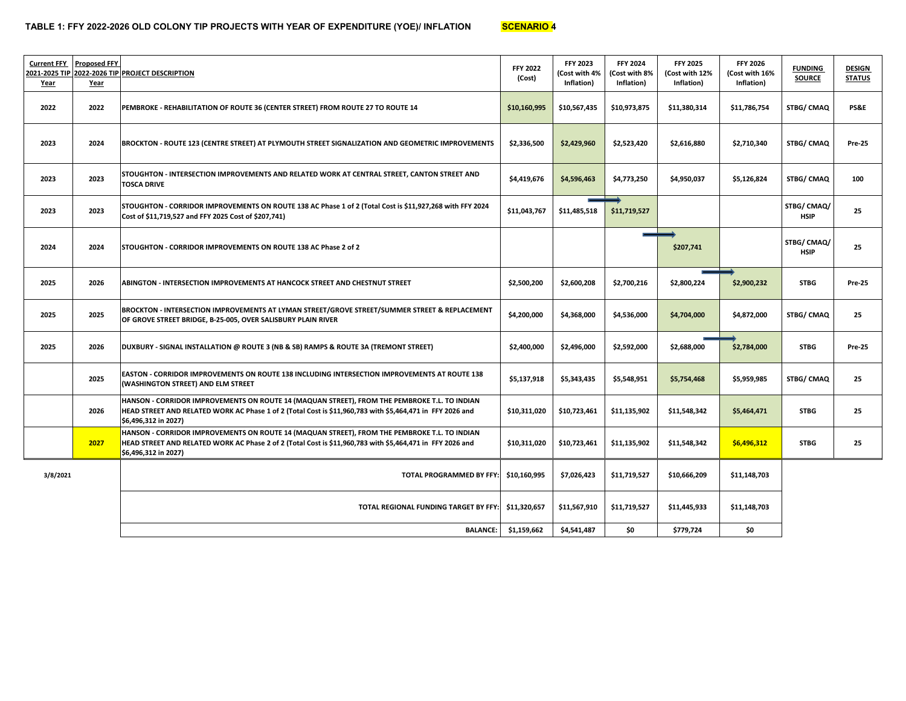| <b>Current FFY</b><br>2021-2025 TIP<br>Year | <b>Proposed FFY</b><br><u>Year</u> | 2022-2026 TIP PROJECT DESCRIPTION                                                                                                                                                                                                 | <b>FFY 2022</b><br>(Cost) | <b>FFY 2023</b><br>(Cost with 4%<br>Inflation) | <b>FFY 2024</b><br>(Cost with 8%<br>Inflation) | <b>FFY 2025</b><br>(Cost with 12%<br>Inflation) | <b>FFY 2026</b><br>(Cost with 16%<br>Inflation) | <b>FUNDING</b><br><b>SOURCE</b> | <b>DESIGN</b><br><b>STATUS</b> |
|---------------------------------------------|------------------------------------|-----------------------------------------------------------------------------------------------------------------------------------------------------------------------------------------------------------------------------------|---------------------------|------------------------------------------------|------------------------------------------------|-------------------------------------------------|-------------------------------------------------|---------------------------------|--------------------------------|
| 2022                                        | 2022                               | PEMBROKE - REHABILITATION OF ROUTE 36 (CENTER STREET) FROM ROUTE 27 TO ROUTE 14                                                                                                                                                   | \$10,160,995              | \$10,567,435                                   | \$10,973,875                                   | \$11,380,314                                    | \$11,786,754                                    | STBG/ CMAQ                      | PS&E                           |
| 2023                                        | 2024                               | BROCKTON - ROUTE 123 (CENTRE STREET) AT PLYMOUTH STREET SIGNALIZATION AND GEOMETRIC IMPROVEMENTS                                                                                                                                  | \$2,336,500               | \$2,429,960                                    | \$2,523,420                                    | \$2,616,880                                     | \$2,710,340                                     | STBG/ CMAQ                      | <b>Pre-25</b>                  |
| 2023                                        | 2023                               | STOUGHTON - INTERSECTION IMPROVEMENTS AND RELATED WORK AT CENTRAL STREET, CANTON STREET AND<br><b>TOSCA DRIVE</b>                                                                                                                 | \$4,419,676               | \$4,596,463                                    | \$4,773,250                                    | \$4,950,037                                     | \$5,126,824                                     | STBG/ CMAQ                      | 100                            |
| 2023                                        | 2023                               | STOUGHTON - CORRIDOR IMPROVEMENTS ON ROUTE 138 AC Phase 1 of 2 (Total Cost is \$11,927,268 with FFY 2024<br>Cost of \$11,719,527 and FFY 2025 Cost of \$207,741)                                                                  | \$11,043,767              | \$11,485,518                                   | \$11,719,527                                   |                                                 |                                                 | STBG/CMAQ/<br><b>HSIP</b>       | 25                             |
| 2024                                        | 2024                               | STOUGHTON - CORRIDOR IMPROVEMENTS ON ROUTE 138 AC Phase 2 of 2                                                                                                                                                                    |                           |                                                |                                                | \$207,741                                       |                                                 | STBG/CMAQ/<br><b>HSIP</b>       | 25                             |
| 2025                                        | 2026                               | ABINGTON - INTERSECTION IMPROVEMENTS AT HANCOCK STREET AND CHESTNUT STREET                                                                                                                                                        | \$2,500,200               | \$2,600,208                                    | \$2,700,216                                    | \$2,800,224                                     | \$2,900,232                                     | <b>STBG</b>                     | <b>Pre-25</b>                  |
| 2025                                        | 2025                               | BROCKTON - INTERSECTION IMPROVEMENTS AT LYMAN STREET/GROVE STREET/SUMMER STREET & REPLACEMENT<br>OF GROVE STREET BRIDGE, B-25-005, OVER SALISBURY PLAIN RIVER                                                                     | \$4,200,000               | \$4,368,000                                    | \$4,536,000                                    | \$4,704,000                                     | \$4,872,000                                     | STBG/ CMAQ                      | 25                             |
| 2025                                        | 2026                               | DUXBURY - SIGNAL INSTALLATION @ ROUTE 3 (NB & SB) RAMPS & ROUTE 3A (TREMONT STREET)                                                                                                                                               | \$2,400,000               | \$2,496,000                                    | \$2,592,000                                    | \$2,688,000                                     | \$2,784,000                                     | <b>STBG</b>                     | <b>Pre-25</b>                  |
|                                             | 2025                               | EASTON - CORRIDOR IMPROVEMENTS ON ROUTE 138 INCLUDING INTERSECTION IMPROVEMENTS AT ROUTE 138<br>(WASHINGTON STREET) AND ELM STREET                                                                                                | \$5,137,918               | \$5,343,435                                    | \$5,548,951                                    | \$5,754,468                                     | \$5,959,985                                     | STBG/ CMAQ                      | 25                             |
|                                             | 2026                               | HANSON - CORRIDOR IMPROVEMENTS ON ROUTE 14 (MAQUAN STREET), FROM THE PEMBROKE T.L. TO INDIAN<br>HEAD STREET AND RELATED WORK AC Phase 1 of 2 (Total Cost is \$11,960,783 with \$5,464,471 in FFY 2026 and<br>\$6,496,312 in 2027) | \$10,311,020              | \$10,723,461                                   | \$11,135,902                                   | \$11,548,342                                    | \$5,464,471                                     | <b>STBG</b>                     | 25                             |
|                                             | 2027                               | HANSON - CORRIDOR IMPROVEMENTS ON ROUTE 14 (MAQUAN STREET), FROM THE PEMBROKE T.L. TO INDIAN<br>HEAD STREET AND RELATED WORK AC Phase 2 of 2 (Total Cost is \$11,960,783 with \$5,464,471 in FFY 2026 and<br>\$6,496,312 in 2027) | \$10,311,020              | \$10,723,461                                   | \$11,135,902                                   | \$11,548,342                                    | \$6,496,312                                     | <b>STBG</b>                     | 25                             |
| 3/8/2021                                    |                                    | TOTAL PROGRAMMED BY FFY:                                                                                                                                                                                                          | \$10,160,995              | \$7,026,423                                    | \$11,719,527                                   | \$10,666,209                                    | \$11,148,703                                    |                                 |                                |
|                                             |                                    | TOTAL REGIONAL FUNDING TARGET BY FFY:                                                                                                                                                                                             | \$11,320,657              | \$11,567,910                                   | \$11,719,527                                   | \$11,445,933                                    | \$11,148,703                                    |                                 |                                |
|                                             |                                    | <b>BALANCE:</b>                                                                                                                                                                                                                   | \$1,159,662               | \$4,541,487                                    | \$0                                            | \$779,724                                       | \$0                                             |                                 |                                |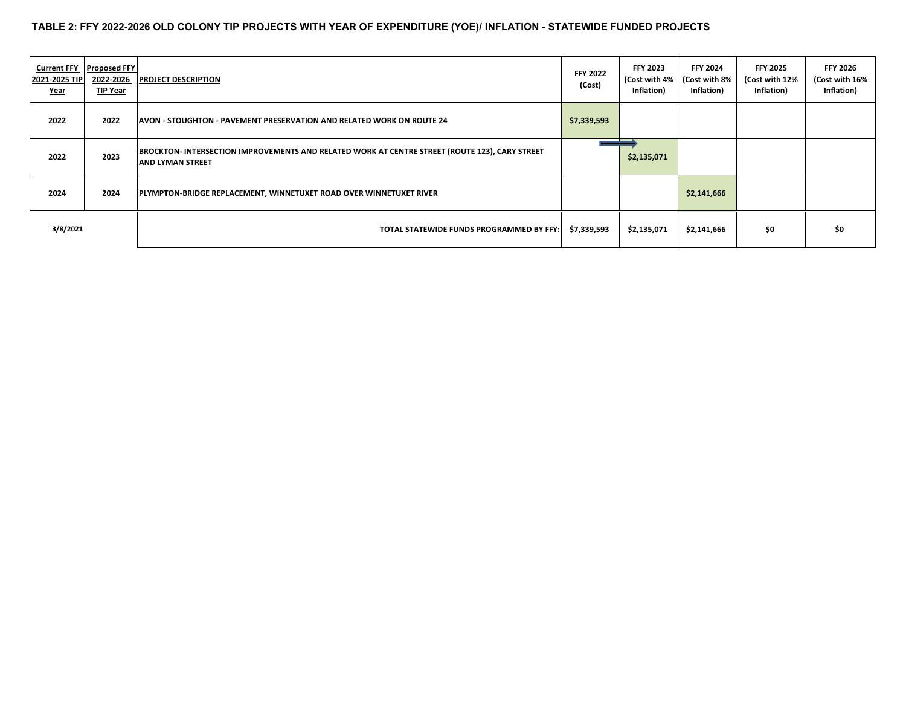#### **TABLE 2: FFY 2022-2026 OLD COLONY TIP PROJECTS WITH YEAR OF EXPENDITURE (YOE)/ INFLATION - STATEWIDE FUNDED PROJECTS**

| <b>Current FFY</b><br>2021-2025 TIP<br><u>Year</u> | <b>Proposed FFY</b><br>2022-2026<br>TIP Year | <b>PROJECT DESCRIPTION</b>                                                                                                | <b>FFY 2022</b><br>(Cost) | <b>FFY 2023</b><br>(Cost with 4%<br>Inflation) | <b>FFY 2024</b><br>(Cost with 8%<br>Inflation) | <b>FFY 2025</b><br>(Cost with 12%<br>Inflation) | <b>FFY 2026</b><br>(Cost with 16%<br>Inflation) |
|----------------------------------------------------|----------------------------------------------|---------------------------------------------------------------------------------------------------------------------------|---------------------------|------------------------------------------------|------------------------------------------------|-------------------------------------------------|-------------------------------------------------|
| 2022                                               | 2022                                         | lAVON - STOUGHTON - PAVEMENT PRESERVATION AND RELATED WORK ON ROUTE 24                                                    | \$7,339,593               |                                                |                                                |                                                 |                                                 |
| 2022                                               | 2023                                         | BROCKTON- INTERSECTION IMPROVEMENTS AND RELATED WORK AT CENTRE STREET (ROUTE 123), CARY STREET<br><b>AND LYMAN STREET</b> |                           | \$2,135,071                                    |                                                |                                                 |                                                 |
| 2024                                               | 2024                                         | PLYMPTON-BRIDGE REPLACEMENT, WINNETUXET ROAD OVER WINNETUXET RIVER                                                        |                           |                                                | \$2,141,666                                    |                                                 |                                                 |
| 3/8/2021                                           |                                              | TOTAL STATEWIDE FUNDS PROGRAMMED BY FFY:                                                                                  | \$7,339,593               | \$2,135,071                                    | \$2,141,666                                    | \$0                                             | \$0                                             |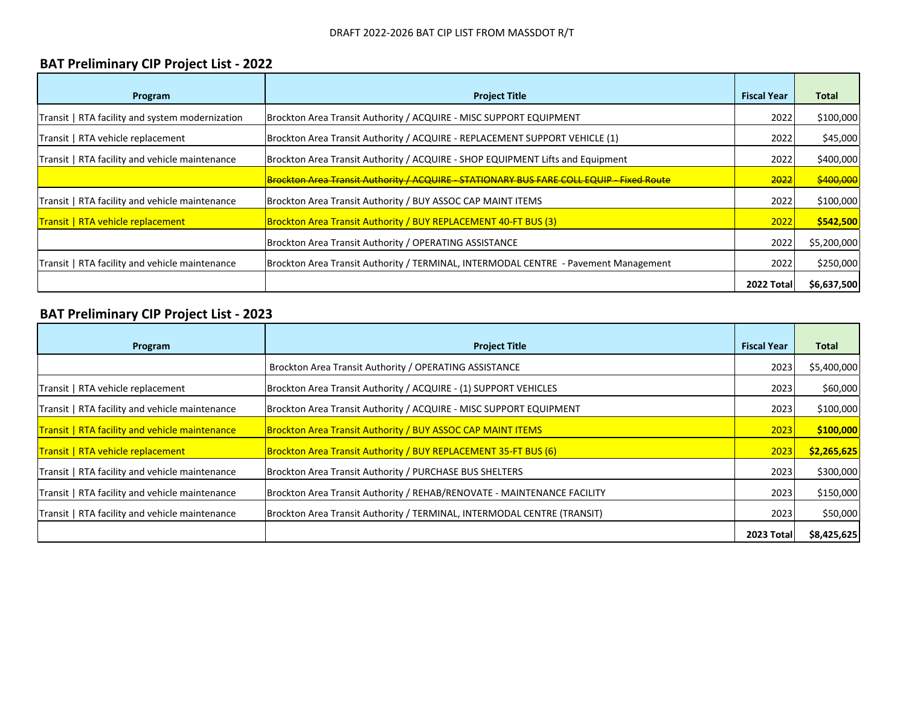#### **BAT Preliminary CIP Project List ‐ 2022**

| Program                                         | <b>Project Title</b>                                                                 | <b>Fiscal Year</b> | Total       |
|-------------------------------------------------|--------------------------------------------------------------------------------------|--------------------|-------------|
| Transit   RTA facility and system modernization | Brockton Area Transit Authority / ACQUIRE - MISC SUPPORT EQUIPMENT                   | 2022               | \$100,000   |
| Transit   RTA vehicle replacement               | Brockton Area Transit Authority / ACQUIRE - REPLACEMENT SUPPORT VEHICLE (1)          | 2022               | \$45,000    |
| Transit   RTA facility and vehicle maintenance  | Brockton Area Transit Authority / ACQUIRE - SHOP EQUIPMENT Lifts and Equipment       | 2022               | \$400,000   |
|                                                 | Brockton Area Transit Authority / ACQUIRE STATIONARY BUS FARE COLL EQUIP Fixed Route | 2022               | \$400,000   |
| Transit   RTA facility and vehicle maintenance  | Brockton Area Transit Authority / BUY ASSOC CAP MAINT ITEMS                          | 2022               | \$100,000   |
| <b>Transit   RTA vehicle replacement</b>        | <b>Brockton Area Transit Authority / BUY REPLACEMENT 40-FT BUS (3)</b>               | 2022               | \$542,500   |
|                                                 | Brockton Area Transit Authority / OPERATING ASSISTANCE                               | 2022               | \$5,200,000 |
| Transit   RTA facility and vehicle maintenance  | Brockton Area Transit Authority / TERMINAL, INTERMODAL CENTRE - Pavement Management  | 2022               | \$250,000   |
|                                                 |                                                                                      | 2022 Total         | \$6,637,500 |

#### **BAT Preliminary CIP Project List ‐ 2023**

| Program                                        | <b>Project Title</b>                                                    | <b>Fiscal Year</b> | <b>Total</b> |
|------------------------------------------------|-------------------------------------------------------------------------|--------------------|--------------|
|                                                | Brockton Area Transit Authority / OPERATING ASSISTANCE                  | 2023               | \$5,400,000  |
| Transit   RTA vehicle replacement              | Brockton Area Transit Authority / ACQUIRE - (1) SUPPORT VEHICLES        | 2023               | \$60,000     |
| Transit   RTA facility and vehicle maintenance | Brockton Area Transit Authority / ACQUIRE - MISC SUPPORT EQUIPMENT      | 2023               | \$100,000    |
| Transit   RTA facility and vehicle maintenance | <b>Brockton Area Transit Authority / BUY ASSOC CAP MAINT ITEMS</b>      | 2023               | \$100,000    |
| Transit   RTA vehicle replacement              | Brockton Area Transit Authority / BUY REPLACEMENT 35-FT BUS (6)         | 2023               | \$2,265,625  |
| Transit   RTA facility and vehicle maintenance | Brockton Area Transit Authority / PURCHASE BUS SHELTERS                 | 2023               | \$300,000    |
| Transit   RTA facility and vehicle maintenance | Brockton Area Transit Authority / REHAB/RENOVATE - MAINTENANCE FACILITY | 2023               | \$150,000    |
| Transit   RTA facility and vehicle maintenance | Brockton Area Transit Authority / TERMINAL, INTERMODAL CENTRE (TRANSIT) | 2023               | \$50,000     |
|                                                |                                                                         | <b>2023 Total</b>  | \$8,425,625  |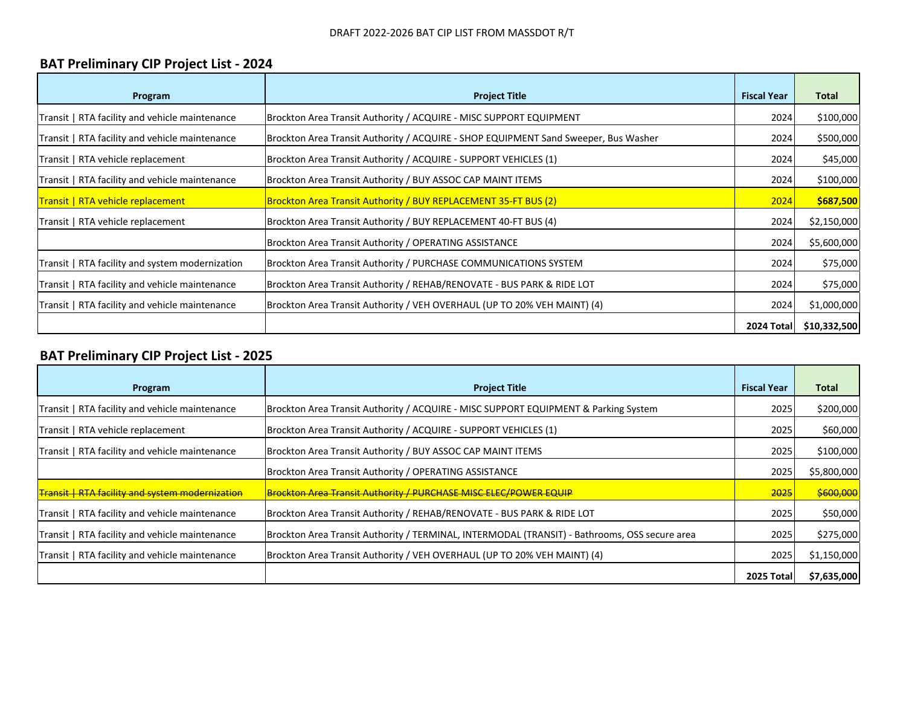#### **BAT Preliminary CIP Project List ‐ 2024**

| Program                                         | <b>Project Title</b>                                                                | <b>Fiscal Year</b> | <b>Total</b> |
|-------------------------------------------------|-------------------------------------------------------------------------------------|--------------------|--------------|
| Transit   RTA facility and vehicle maintenance  | Brockton Area Transit Authority / ACQUIRE - MISC SUPPORT EQUIPMENT                  | 2024               | \$100,000    |
| Transit   RTA facility and vehicle maintenance  | Brockton Area Transit Authority / ACQUIRE - SHOP EQUIPMENT Sand Sweeper, Bus Washer | 2024               | \$500,000    |
| Transit   RTA vehicle replacement               | Brockton Area Transit Authority / ACQUIRE - SUPPORT VEHICLES (1)                    | 2024               | \$45,000     |
| Transit   RTA facility and vehicle maintenance  | Brockton Area Transit Authority / BUY ASSOC CAP MAINT ITEMS                         | 2024               | \$100,000    |
| Transit   RTA vehicle replacement               | Brockton Area Transit Authority / BUY REPLACEMENT 35-FT BUS (2)                     | 2024               | \$687,500    |
| Transit   RTA vehicle replacement               | Brockton Area Transit Authority / BUY REPLACEMENT 40-FT BUS (4)                     | 2024               | \$2,150,000  |
|                                                 | Brockton Area Transit Authority / OPERATING ASSISTANCE                              | 2024               | \$5,600,000  |
| Transit   RTA facility and system modernization | Brockton Area Transit Authority / PURCHASE COMMUNICATIONS SYSTEM                    | 2024               | \$75,000     |
| Transit   RTA facility and vehicle maintenance  | Brockton Area Transit Authority / REHAB/RENOVATE - BUS PARK & RIDE LOT              | 2024               | \$75,000     |
| Transit   RTA facility and vehicle maintenance  | Brockton Area Transit Authority / VEH OVERHAUL (UP TO 20% VEH MAINT) (4)            | 2024               | \$1,000,000  |
|                                                 |                                                                                     | 2024 Total         | \$10,332,500 |

#### **BAT Preliminary CIP Project List ‐ 2025**

| Program                                                | <b>Project Title</b>                                                                          | <b>Fiscal Year</b> | Total       |
|--------------------------------------------------------|-----------------------------------------------------------------------------------------------|--------------------|-------------|
| Transit   RTA facility and vehicle maintenance         | Brockton Area Transit Authority / ACQUIRE - MISC SUPPORT EQUIPMENT & Parking System           | 2025               | \$200,000   |
| Transit   RTA vehicle replacement                      | Brockton Area Transit Authority / ACQUIRE - SUPPORT VEHICLES (1)                              | 2025               | \$60,000    |
| Transit   RTA facility and vehicle maintenance         | Brockton Area Transit Authority / BUY ASSOC CAP MAINT ITEMS                                   | 2025               | \$100,000   |
|                                                        | Brockton Area Transit Authority / OPERATING ASSISTANCE                                        | 2025               | \$5,800,000 |
| <b>Transit   RTA facility and system modernization</b> | Brockton Area Transit Authority / PURCHASE MISC ELEC/POWER EQUIP                              | 2025               | \$600,000   |
| Transit   RTA facility and vehicle maintenance         | Brockton Area Transit Authority / REHAB/RENOVATE - BUS PARK & RIDE LOT                        | 2025               | \$50,000    |
| Transit   RTA facility and vehicle maintenance         | Brockton Area Transit Authority / TERMINAL, INTERMODAL (TRANSIT) - Bathrooms, OSS secure area | 2025               | \$275,000   |
| Transit   RTA facility and vehicle maintenance         | Brockton Area Transit Authority / VEH OVERHAUL (UP TO 20% VEH MAINT) (4)                      | 2025               | \$1,150,000 |
|                                                        |                                                                                               | 2025 Total         | \$7,635,000 |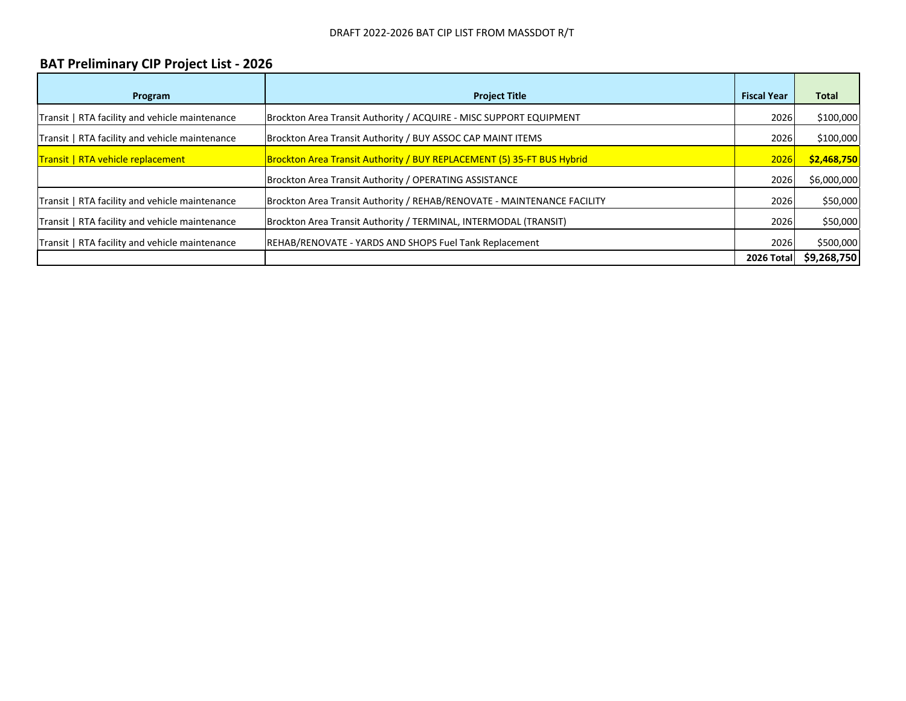#### **BAT Preliminary CIP Project List ‐ 2026**

| Program                                        | <b>Project Title</b>                                                    | <b>Fiscal Year</b> | <b>Total</b> |
|------------------------------------------------|-------------------------------------------------------------------------|--------------------|--------------|
| Transit   RTA facility and vehicle maintenance | Brockton Area Transit Authority / ACQUIRE - MISC SUPPORT EQUIPMENT      | 2026               | \$100,000    |
| Transit   RTA facility and vehicle maintenance | Brockton Area Transit Authority / BUY ASSOC CAP MAINT ITEMS             | 2026               | \$100,000    |
| Transit   RTA vehicle replacement              | Brockton Area Transit Authority / BUY REPLACEMENT (5) 35-FT BUS Hybrid  | 2026               | \$2,468,750  |
|                                                | Brockton Area Transit Authority / OPERATING ASSISTANCE                  | 2026               | \$6,000,000  |
| Transit   RTA facility and vehicle maintenance | Brockton Area Transit Authority / REHAB/RENOVATE - MAINTENANCE FACILITY | 2026               | \$50,000     |
| Transit   RTA facility and vehicle maintenance | Brockton Area Transit Authority / TERMINAL, INTERMODAL (TRANSIT)        | 2026               | \$50,000     |
| Transit   RTA facility and vehicle maintenance | REHAB/RENOVATE - YARDS AND SHOPS Fuel Tank Replacement                  | 2026               | \$500,000    |
|                                                |                                                                         | 2026 Total         | \$9,268,750  |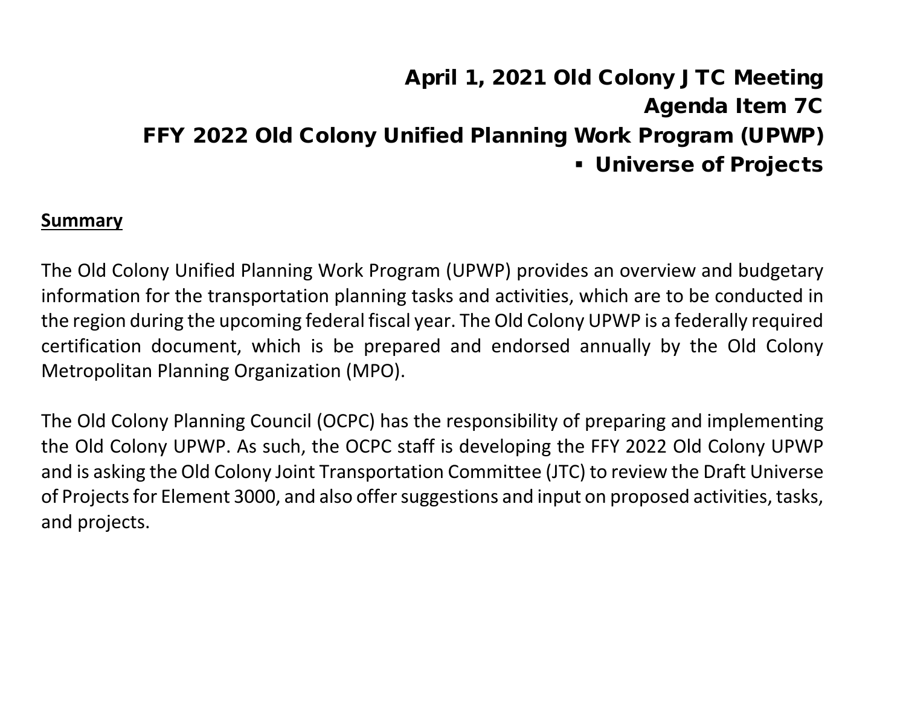# April 1, 2021 Old Colony JTC Meeting Agenda Item 7C FFY 2022 Old Colony Unified Planning Work Program (UPWP) Universe of Projects

#### **Summary**

The Old Colony Unified Planning Work Program (UPWP) provides an overview and budgetary information for the transportation planning tasks and activities, which are to be conducted in the region during the upcoming federal fiscal year. The Old Colony UPWP is a federally required certification document, which is be prepared and endorsed annually by the Old Colony Metropolitan Planning Organization (MPO).

The Old Colony Planning Council (OCPC) has the responsibility of preparing and implementing the Old Colony UPWP. As such, the OCPC staff is developing the FFY 2022 Old Colony UPWP and is asking the Old Colony Joint Transportation Committee (JTC) to review the Draft Universe of Projects for Element 3000, and also offer suggestions and input on proposed activities, tasks, and projects.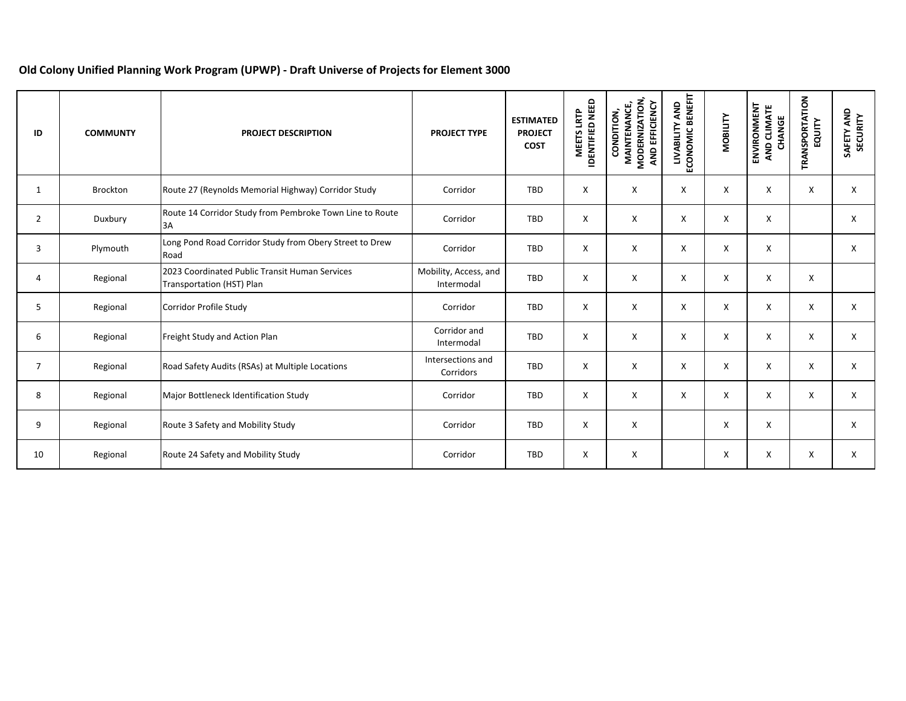#### **Old Colony Unified Planning Work Program (UPWP) ‐ Draft Universe of Projects for Element 3000**

| ID             | <b>COMMUNTY</b> | <b>PROJECT DESCRIPTION</b>                                                  | <b>PROJECT TYPE</b>                 | <b>ESTIMATED</b><br><b>PROJECT</b><br><b>COST</b> | <b>DENTIFIED NEED</b><br>LRTP<br><b>MEETS</b> | MODERNIZATION,<br>AND EFFICIENCY<br><b>MAINTENANCE,</b><br>CONDITION, | LIVABILITY AND<br>ECONOMIC BENEFIT | <b>MOBILITY</b> | ENVIRONMENT<br>AND CLIMATE<br>CHANGE | <b>TRANSPORTATION</b><br>EQUITY | SAFETY AND<br>SECURITY |
|----------------|-----------------|-----------------------------------------------------------------------------|-------------------------------------|---------------------------------------------------|-----------------------------------------------|-----------------------------------------------------------------------|------------------------------------|-----------------|--------------------------------------|---------------------------------|------------------------|
| $\mathbf{1}$   | Brockton        | Route 27 (Reynolds Memorial Highway) Corridor Study                         | Corridor                            | TBD                                               | X                                             | X                                                                     | X                                  | X               | X                                    | X                               | X                      |
| $\overline{2}$ | Duxbury         | Route 14 Corridor Study from Pembroke Town Line to Route<br>3A              | Corridor                            | TBD                                               | X                                             | X                                                                     | X                                  | X               | X                                    |                                 | X                      |
| 3              | Plymouth        | Long Pond Road Corridor Study from Obery Street to Drew<br>Road             | Corridor                            | TBD                                               | X                                             | X                                                                     | X                                  | X               | X                                    |                                 | X                      |
| 4              | Regional        | 2023 Coordinated Public Transit Human Services<br>Transportation (HST) Plan | Mobility, Access, and<br>Intermodal | TBD                                               | X                                             | X                                                                     | X                                  | X               | X                                    | X                               |                        |
| 5              | Regional        | Corridor Profile Study                                                      | Corridor                            | TBD                                               | X                                             | X                                                                     | X                                  | X               | X                                    | X                               | X                      |
| 6              | Regional        | Freight Study and Action Plan                                               | Corridor and<br>Intermodal          | TBD                                               | X                                             | X                                                                     | X                                  | X               | X                                    | X                               | X                      |
| $\overline{7}$ | Regional        | Road Safety Audits (RSAs) at Multiple Locations                             | Intersections and<br>Corridors      | TBD                                               | X                                             | X                                                                     | X                                  | X               | X                                    | X                               | $\mathsf{x}$           |
| 8              | Regional        | Major Bottleneck Identification Study                                       | Corridor                            | TBD                                               | X                                             | X                                                                     | X                                  | X               | X                                    | X                               | X                      |
| 9              | Regional        | Route 3 Safety and Mobility Study                                           | Corridor                            | TBD                                               | X                                             | X                                                                     |                                    | X               | X                                    |                                 | $\mathsf{x}$           |
| 10             | Regional        | Route 24 Safety and Mobility Study                                          | Corridor                            | TBD                                               | X                                             | X                                                                     |                                    | X               | X                                    | X                               | X                      |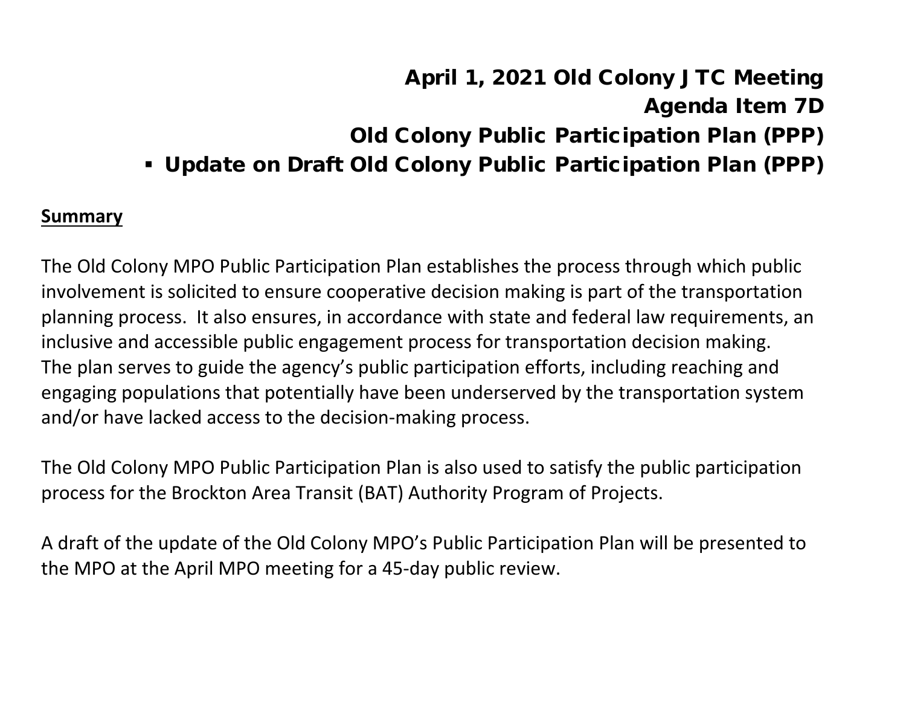# April 1, 2021 Old Colony JTC Meeting Agenda Item 7D Old Colony Public Participation Plan (PPP) Update on Draft Old Colony Public Participation Plan (PPP)

#### **Summary**

The Old Colony MPO Public Participation Plan establishes the process through which public involvement is solicited to ensure cooperative decision making is part of the transportation planning process. It also ensures, in accordance with state and federal law requirements, an inclusive and accessible public engagement process for transportation decision making. The plan serves to guide the agency's public participation efforts, including reaching and engaging populations that potentially have been underserved by the transportation system and/or have lacked access to the decision-making process.

The Old Colony MPO Public Participation Plan is also used to satisfy the public participation process for the Brockton Area Transit (BAT) Authority Program of Projects.

A draft of the update of the Old Colony MPO's Public Participation Plan will be presented to the MPO at the April MPO meeting for a 45-day public review.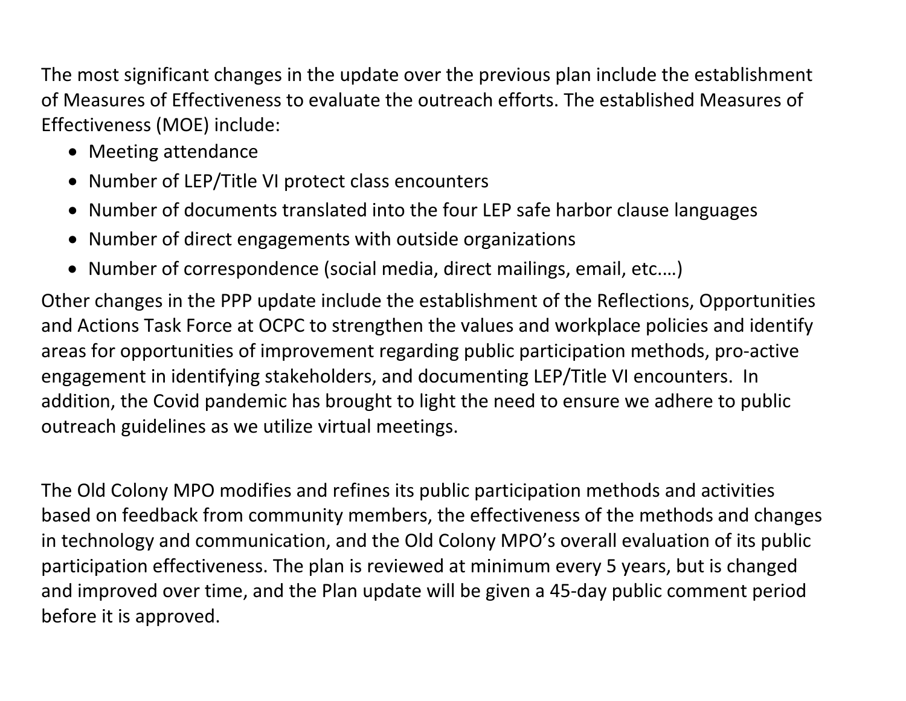The most significant changes in the update over the previous plan include the establishment of Measures of Effectiveness to evaluate the outreach efforts. The established Measures of Effectiveness (MOE) include:

- Meeting attendance
- Number of LEP/Title VI protect class encounters
- Number of documents translated into the four LEP safe harbor clause languages
- Number of direct engagements with outside organizations
- Number of correspondence (social media, direct mailings, email, etc.…)

Other changes in the PPP update include the establishment of the Reflections, Opportunities and Actions Task Force at OCPC to strengthen the values and workplace policies and identify areas for opportunities of improvement regarding public participation methods, pro-active engagement in identifying stakeholders, and documenting LEP/Title VI encounters. In addition, the Covid pandemic has brought to light the need to ensure we adhere to public outreach guidelines as we utilize virtual meetings.

The Old Colony MPO modifies and refines its public participation methods and activities based on feedback from community members, the effectiveness of the methods and changes in technology and communication, and the Old Colony MPO's overall evaluation of its public participation effectiveness. The plan is reviewed at minimum every 5 years, but is changed and improved over time, and the Plan update will be given a 45-day public comment period before it is approved.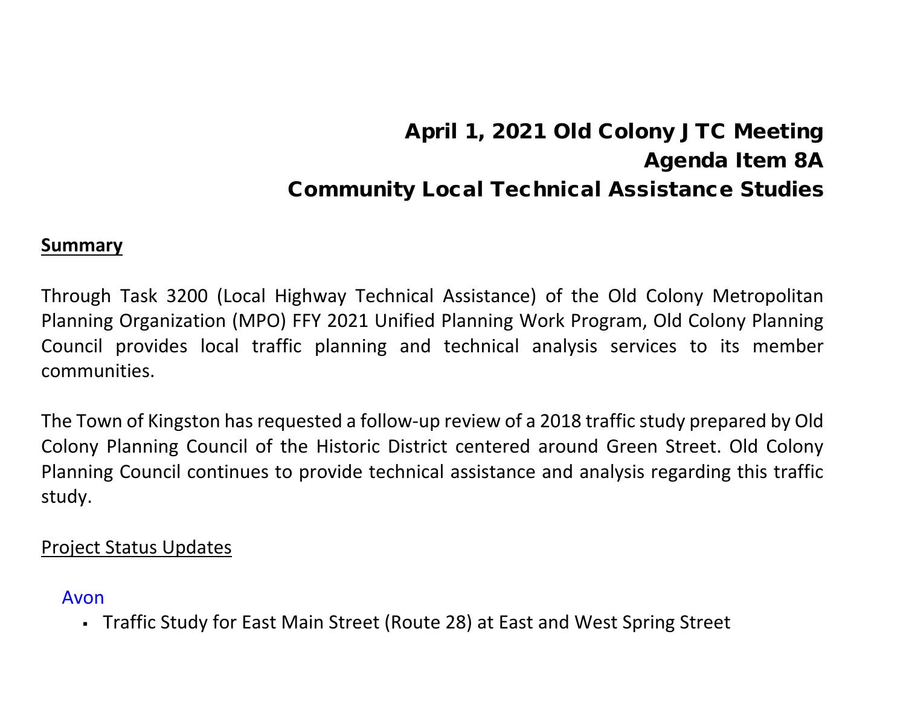# April 1, 2021 Old Colony JTC Meeting Agenda Item 8A Community Local Technical Assistance Studies

#### **Summary**

Through Task 3200 (Local Highway Technical Assistance) of the Old Colony Metropolitan Planning Organization (MPO) FFY 2021 Unified Planning Work Program, Old Colony Planning Council provides local traffic planning and technical analysis services to its member communities.

The Town of Kingston has requested a follow-up review of a 2018 traffic study prepared by Old Colony Planning Council of the Historic District centered around Green Street. Old Colony Planning Council continues to provide technical assistance and analysis regarding this traffic study.

#### Project Status Updates

#### Avon

Traffic Study for East Main Street (Route 28) at East and West Spring Street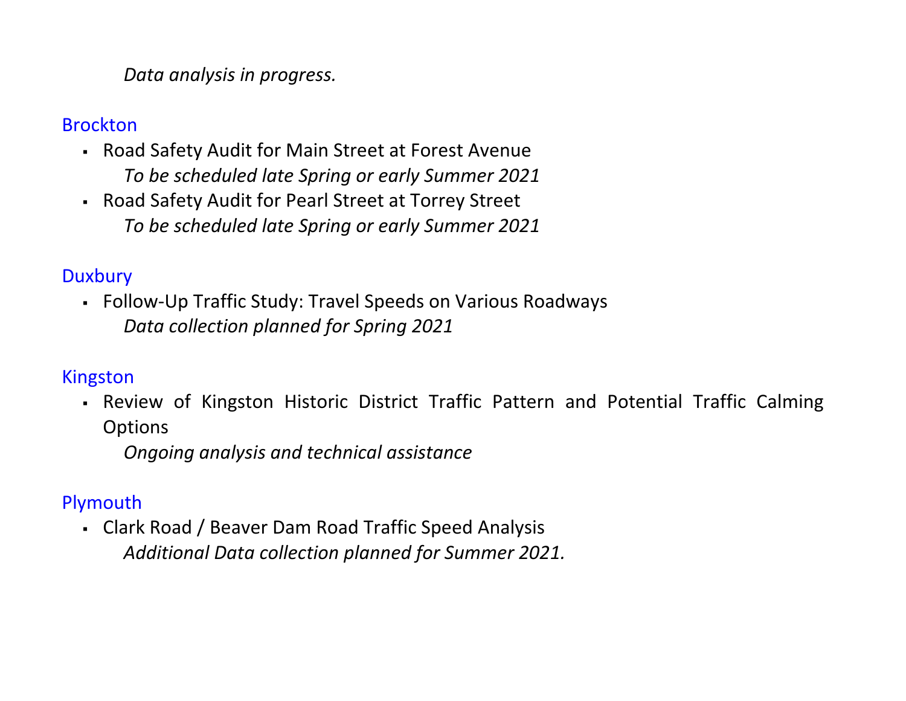#### *Data analysis in progress.*

#### Brockton

- Road Safety Audit for Main Street at Forest Avenue *To be scheduled late Spring or early Summer 2021*
- Road Safety Audit for Pearl Street at Torrey Street *To be scheduled late Spring or early Summer 2021*

## **Duxbury**

 Follow-Up Traffic Study: Travel Speeds on Various Roadways *Data collection planned for Spring 2021*

## Kingston

 Review of Kingston Historic District Traffic Pattern and Potential Traffic Calming **Options** 

*Ongoing analysis and technical assistance*

## Plymouth

 Clark Road / Beaver Dam Road Traffic Speed Analysis *Additional Data collection planned for Summer 2021.*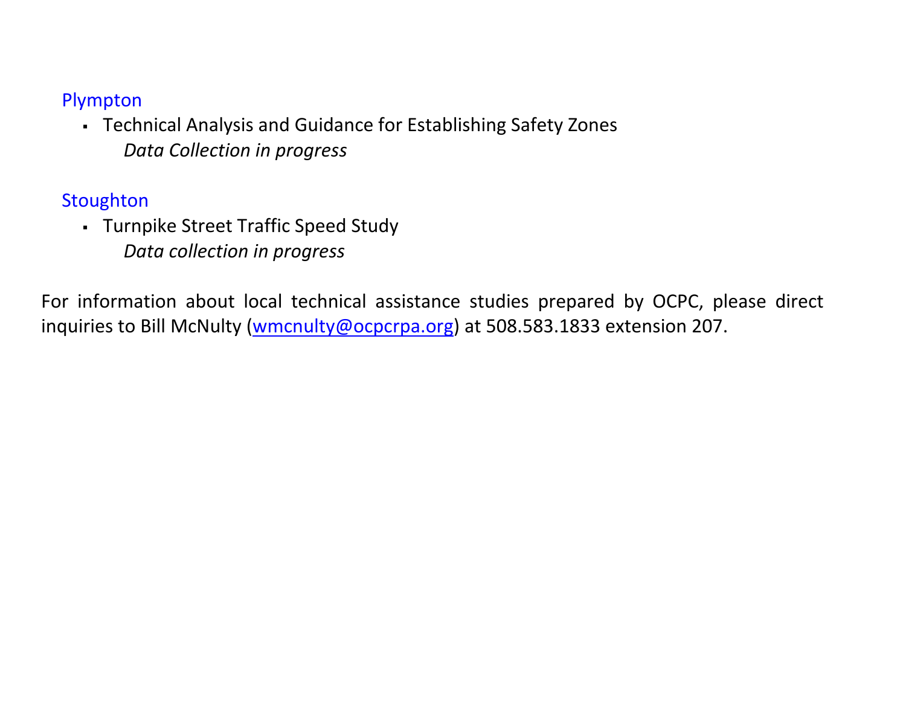### Plympton

 Technical Analysis and Guidance for Establishing Safety Zones *Data Collection in progress*

**Stoughton** 

 Turnpike Street Traffic Speed Study *Data collection in progress* 

For information about local technical assistance studies prepared by OCPC, please direct inquiries to Bill McNulty [\(wmcnulty@ocpcrpa.org\)](mailto:wmcnulty@ocpcrpa.org) at 508.583.1833 extension 207.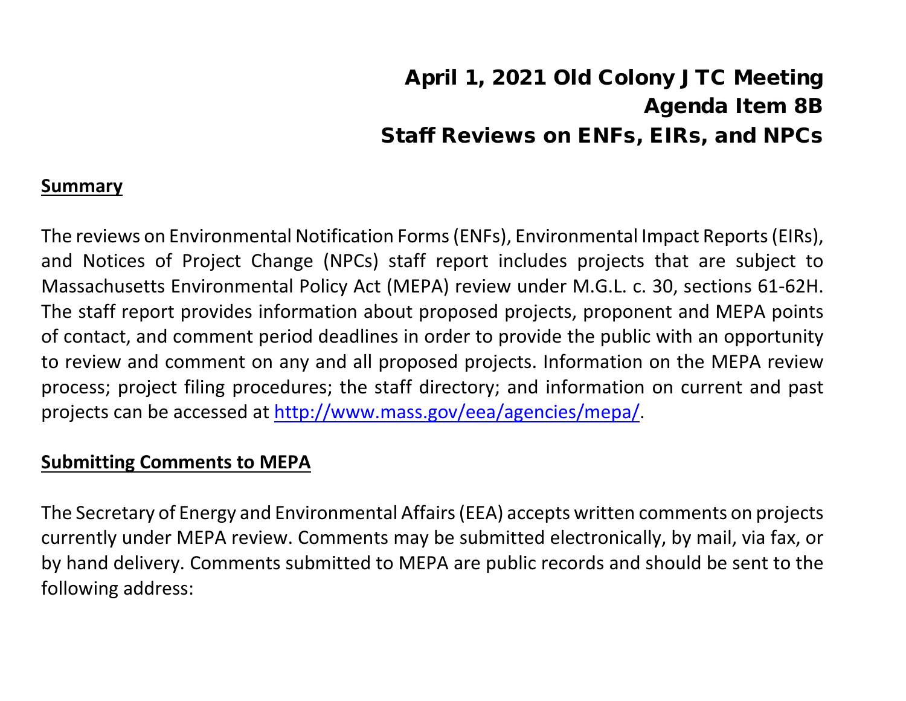# April 1, 2021 Old Colony JTC Meeting Agenda Item 8B Staff Reviews on ENFs, EIRs, and NPCs

#### **Summary**

The reviews on Environmental Notification Forms (ENFs), Environmental Impact Reports (EIRs), and Notices of Project Change (NPCs) staff report includes projects that are subject to Massachusetts Environmental Policy Act (MEPA) review under M.G.L. c. 30, sections 61-62H. The staff report provides information about proposed projects, proponent and MEPA points of contact, and comment period deadlines in order to provide the public with an opportunity to review and comment on any and all proposed projects. Information on the MEPA review process; project filing procedures; the staff directory; and information on current and past projects can be accessed at [http://www.mass.gov/eea/agencies/mepa/.](about:blank)

### **Submitting Comments to MEPA**

The Secretary of Energy and Environmental Affairs (EEA) accepts written comments on projects currently under MEPA review. Comments may be submitted electronically, by mail, via fax, or by hand delivery. Comments submitted to MEPA are public records and should be sent to the following address: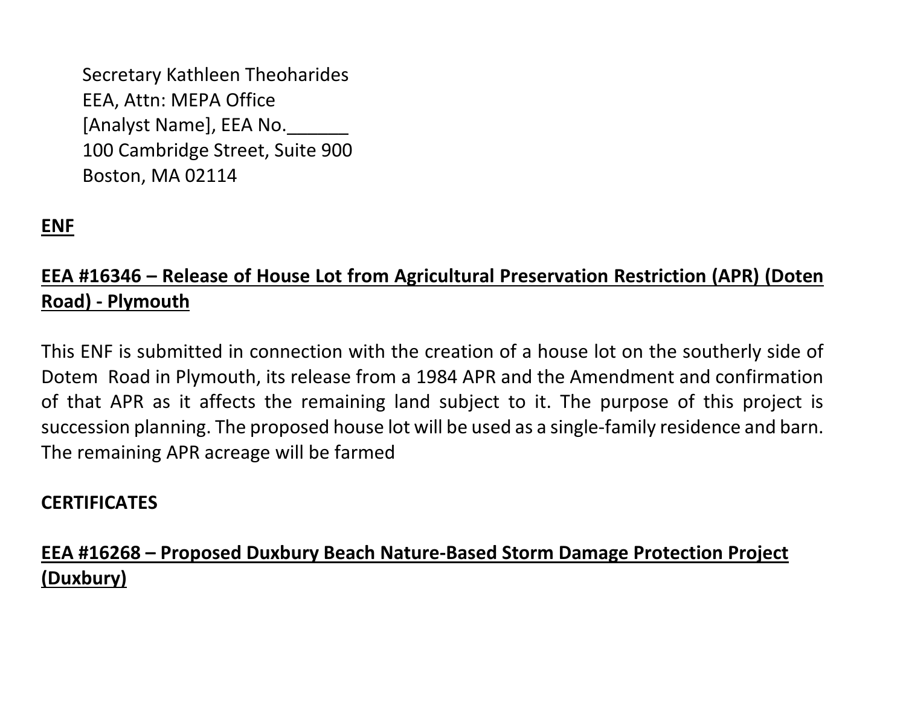Secretary Kathleen Theoharides EEA, Attn: MEPA Office [Analyst Name], EEA No. 100 Cambridge Street, Suite 900 Boston, MA 02114

# **ENF**

# **EEA #16346 – Release of House Lot from Agricultural Preservation Restriction (APR) (Doten Road) - Plymouth**

This ENF is submitted in connection with the creation of a house lot on the southerly side of Dotem Road in Plymouth, its release from a 1984 APR and the Amendment and confirmation of that APR as it affects the remaining land subject to it. The purpose of this project is succession planning. The proposed house lot will be used as a single-family residence and barn. The remaining APR acreage will be farmed

## **CERTIFICATES**

# **EEA #16268 – Proposed Duxbury Beach Nature-Based Storm Damage Protection Project (Duxbury)**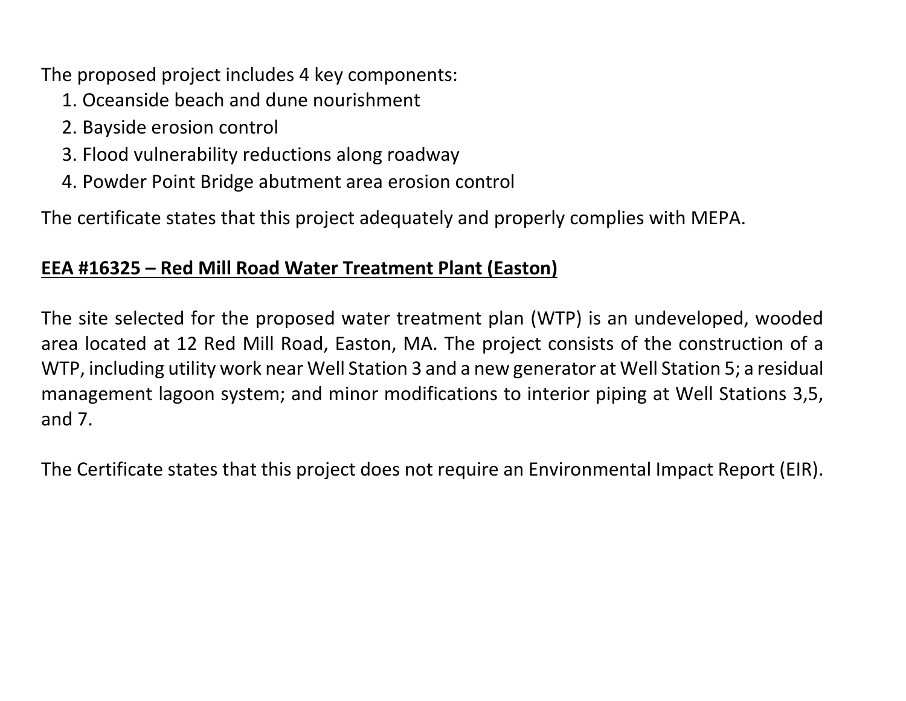The proposed project includes 4 key components:

- 1. Oceanside beach and dune nourishment
- 2. Bayside erosion control
- 3. Flood vulnerability reductions along roadway
- 4. Powder Point Bridge abutment area erosion control

The certificate states that this project adequately and properly complies with MEPA.

### **EEA #16325 – Red Mill Road Water Treatment Plant (Easton)**

The site selected for the proposed water treatment plan (WTP) is an undeveloped, wooded area located at 12 Red Mill Road, Easton, MA. The project consists of the construction of a WTP, including utility work near Well Station 3 and a new generator at Well Station 5; a residual management lagoon system; and minor modifications to interior piping at Well Stations 3,5, and 7.

The Certificate states that this project does not require an Environmental Impact Report (EIR).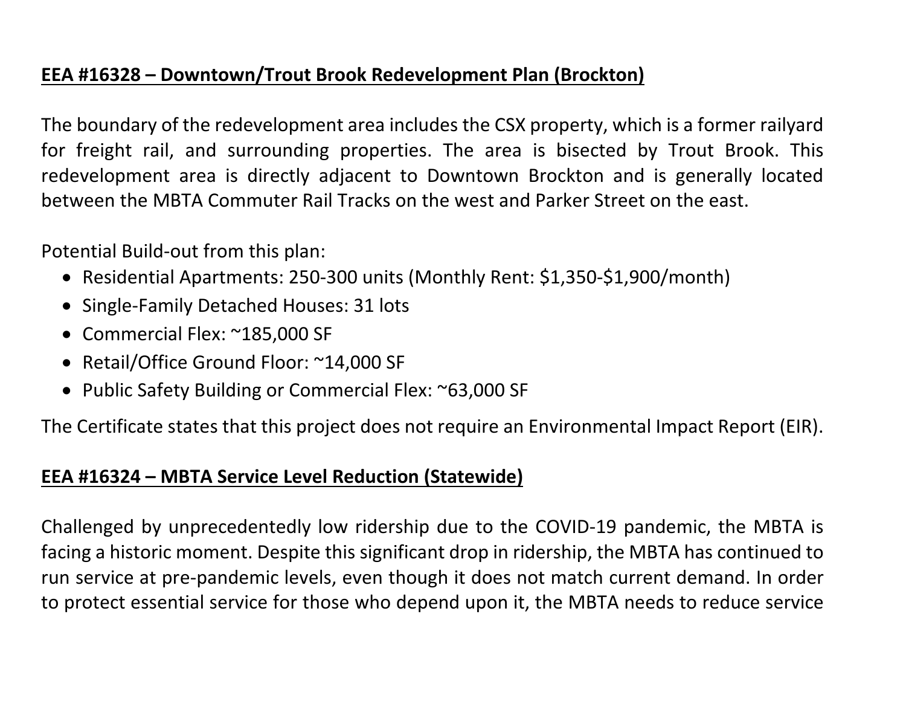## **EEA #16328 – Downtown/Trout Brook Redevelopment Plan (Brockton)**

The boundary of the redevelopment area includes the CSX property, which is a former railyard for freight rail, and surrounding properties. The area is bisected by Trout Brook. This redevelopment area is directly adjacent to Downtown Brockton and is generally located between the MBTA Commuter Rail Tracks on the west and Parker Street on the east.

Potential Build-out from this plan:

- Residential Apartments: 250-300 units (Monthly Rent: \$1,350-\$1,900/month)
- Single-Family Detached Houses: 31 lots
- Commercial Flex: ~185,000 SF
- Retail/Office Ground Floor: ~14,000 SF
- Public Safety Building or Commercial Flex: ~63,000 SF

The Certificate states that this project does not require an Environmental Impact Report (EIR).

### **EEA #16324 – MBTA Service Level Reduction (Statewide)**

Challenged by unprecedentedly low ridership due to the COVID-19 pandemic, the MBTA is facing a historic moment. Despite this significant drop in ridership, the MBTA has continued to run service at pre-pandemic levels, even though it does not match current demand. In order to protect essential service for those who depend upon it, the MBTA needs to reduce service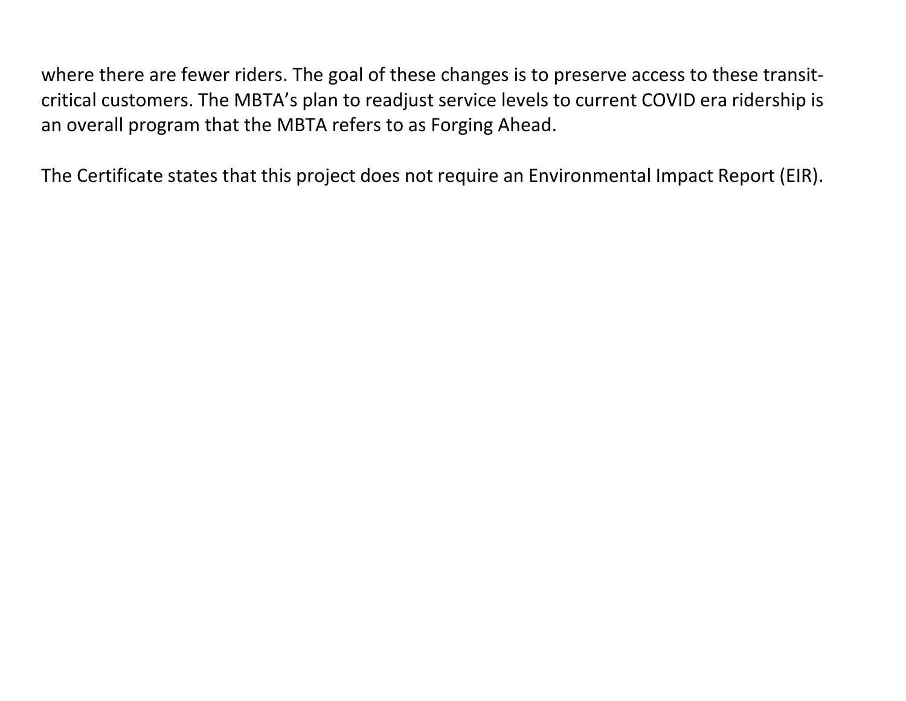where there are fewer riders. The goal of these changes is to preserve access to these transitcritical customers. The MBTA's plan to readjust service levels to current COVID era ridership is an overall program that the MBTA refers to as Forging Ahead.

The Certificate states that this project does not require an Environmental Impact Report (EIR).